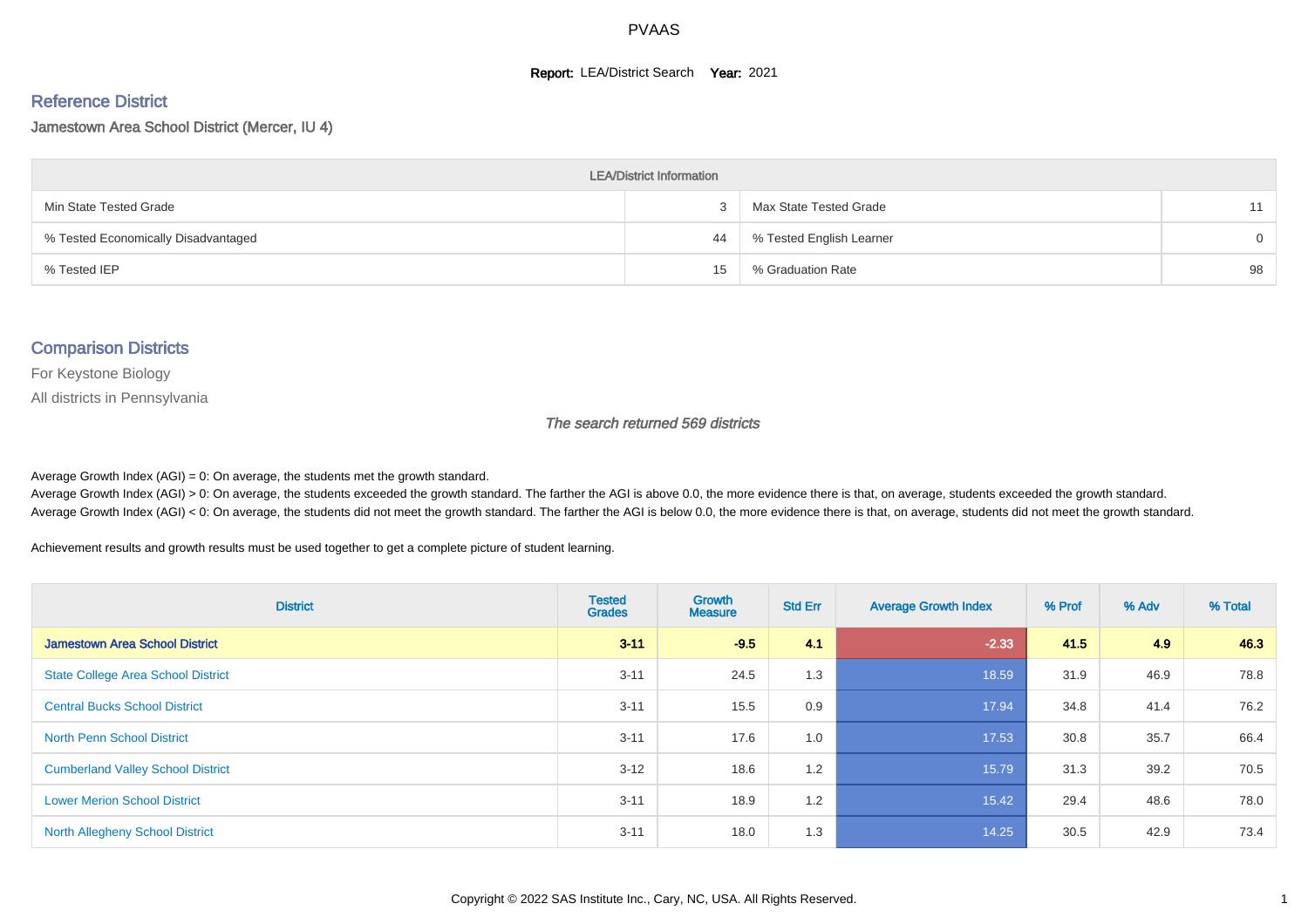#### **Report: LEA/District Search Year: 2021**

#### Reference District

#### Jamestown Area School District (Mercer, IU 4)

| <b>LEA/District Information</b>     |    |                          |          |  |  |  |  |  |  |  |
|-------------------------------------|----|--------------------------|----------|--|--|--|--|--|--|--|
| Min State Tested Grade              |    | Max State Tested Grade   | 11       |  |  |  |  |  |  |  |
| % Tested Economically Disadvantaged | 44 | % Tested English Learner | $\Omega$ |  |  |  |  |  |  |  |
| % Tested IEP                        | 15 | % Graduation Rate        | 98       |  |  |  |  |  |  |  |

#### Comparison Districts

For Keystone Biology

All districts in Pennsylvania

The search returned 569 districts

Average Growth Index  $(AGI) = 0$ : On average, the students met the growth standard.

Average Growth Index (AGI) > 0: On average, the students exceeded the growth standard. The farther the AGI is above 0.0, the more evidence there is that, on average, students exceeded the growth standard. Average Growth Index (AGI) < 0: On average, the students did not meet the growth standard. The farther the AGI is below 0.0, the more evidence there is that, on average, students did not meet the growth standard.

Achievement results and growth results must be used together to get a complete picture of student learning.

| <b>District</b>                           | <b>Tested</b><br><b>Grades</b> | <b>Growth</b><br><b>Measure</b> | <b>Std Err</b> | <b>Average Growth Index</b> | % Prof | % Adv | % Total |
|-------------------------------------------|--------------------------------|---------------------------------|----------------|-----------------------------|--------|-------|---------|
| <b>Jamestown Area School District</b>     | $3 - 11$                       | $-9.5$                          | 4.1            | $-2.33$                     | 41.5   | 4.9   | 46.3    |
| <b>State College Area School District</b> | $3 - 11$                       | 24.5                            | 1.3            | 18.59                       | 31.9   | 46.9  | 78.8    |
| <b>Central Bucks School District</b>      | $3 - 11$                       | 15.5                            | 0.9            | 17.94                       | 34.8   | 41.4  | 76.2    |
| <b>North Penn School District</b>         | $3 - 11$                       | 17.6                            | 1.0            | 17.53                       | 30.8   | 35.7  | 66.4    |
| <b>Cumberland Valley School District</b>  | $3 - 12$                       | 18.6                            | 1.2            | 15.79                       | 31.3   | 39.2  | 70.5    |
| <b>Lower Merion School District</b>       | $3 - 11$                       | 18.9                            | 1.2            | 15.42                       | 29.4   | 48.6  | 78.0    |
| <b>North Allegheny School District</b>    | $3 - 11$                       | 18.0                            | 1.3            | 14.25                       | 30.5   | 42.9  | 73.4    |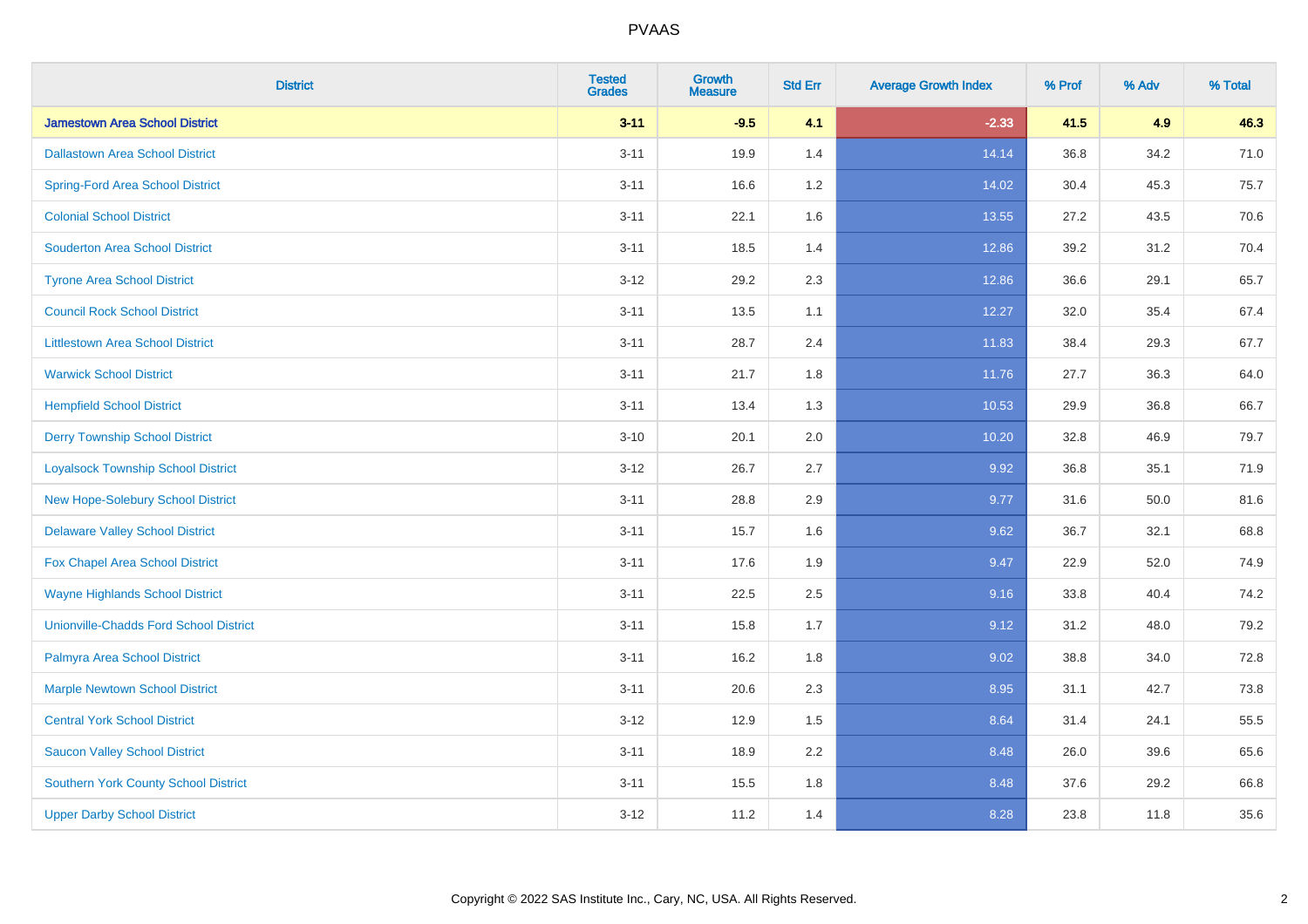| <b>District</b>                               | <b>Tested</b><br><b>Grades</b> | <b>Growth</b><br><b>Measure</b> | <b>Std Err</b> | <b>Average Growth Index</b> | % Prof | % Adv | % Total |
|-----------------------------------------------|--------------------------------|---------------------------------|----------------|-----------------------------|--------|-------|---------|
| <b>Jamestown Area School District</b>         | $3 - 11$                       | $-9.5$                          | 4.1            | $-2.33$                     | 41.5   | 4.9   | 46.3    |
| <b>Dallastown Area School District</b>        | $3 - 11$                       | 19.9                            | 1.4            | 14.14                       | 36.8   | 34.2  | 71.0    |
| <b>Spring-Ford Area School District</b>       | $3 - 11$                       | 16.6                            | 1.2            | 14.02                       | 30.4   | 45.3  | 75.7    |
| <b>Colonial School District</b>               | $3 - 11$                       | 22.1                            | 1.6            | 13.55                       | 27.2   | 43.5  | 70.6    |
| <b>Souderton Area School District</b>         | $3 - 11$                       | 18.5                            | 1.4            | 12.86                       | 39.2   | 31.2  | 70.4    |
| <b>Tyrone Area School District</b>            | $3 - 12$                       | 29.2                            | 2.3            | 12.86                       | 36.6   | 29.1  | 65.7    |
| <b>Council Rock School District</b>           | $3 - 11$                       | 13.5                            | 1.1            | 12.27                       | 32.0   | 35.4  | 67.4    |
| <b>Littlestown Area School District</b>       | $3 - 11$                       | 28.7                            | 2.4            | 11.83                       | 38.4   | 29.3  | 67.7    |
| <b>Warwick School District</b>                | $3 - 11$                       | 21.7                            | 1.8            | 11.76                       | 27.7   | 36.3  | 64.0    |
| <b>Hempfield School District</b>              | $3 - 11$                       | 13.4                            | 1.3            | 10.53                       | 29.9   | 36.8  | 66.7    |
| <b>Derry Township School District</b>         | $3 - 10$                       | 20.1                            | 2.0            | 10.20                       | 32.8   | 46.9  | 79.7    |
| <b>Loyalsock Township School District</b>     | $3-12$                         | 26.7                            | 2.7            | 9.92                        | 36.8   | 35.1  | 71.9    |
| New Hope-Solebury School District             | $3 - 11$                       | 28.8                            | 2.9            | 9.77                        | 31.6   | 50.0  | 81.6    |
| <b>Delaware Valley School District</b>        | $3 - 11$                       | 15.7                            | 1.6            | 9.62                        | 36.7   | 32.1  | 68.8    |
| Fox Chapel Area School District               | $3 - 11$                       | 17.6                            | 1.9            | 9.47                        | 22.9   | 52.0  | 74.9    |
| <b>Wayne Highlands School District</b>        | $3 - 11$                       | 22.5                            | 2.5            | 9.16                        | 33.8   | 40.4  | 74.2    |
| <b>Unionville-Chadds Ford School District</b> | $3 - 11$                       | 15.8                            | 1.7            | 9.12                        | 31.2   | 48.0  | 79.2    |
| Palmyra Area School District                  | $3 - 11$                       | 16.2                            | 1.8            | 9.02                        | 38.8   | 34.0  | 72.8    |
| <b>Marple Newtown School District</b>         | $3 - 11$                       | 20.6                            | 2.3            | 8.95                        | 31.1   | 42.7  | 73.8    |
| <b>Central York School District</b>           | $3 - 12$                       | 12.9                            | 1.5            | 8.64                        | 31.4   | 24.1  | 55.5    |
| <b>Saucon Valley School District</b>          | $3 - 11$                       | 18.9                            | 2.2            | 8.48                        | 26.0   | 39.6  | 65.6    |
| <b>Southern York County School District</b>   | $3 - 11$                       | 15.5                            | 1.8            | 8.48                        | 37.6   | 29.2  | 66.8    |
| <b>Upper Darby School District</b>            | $3 - 12$                       | 11.2                            | 1.4            | 8.28                        | 23.8   | 11.8  | 35.6    |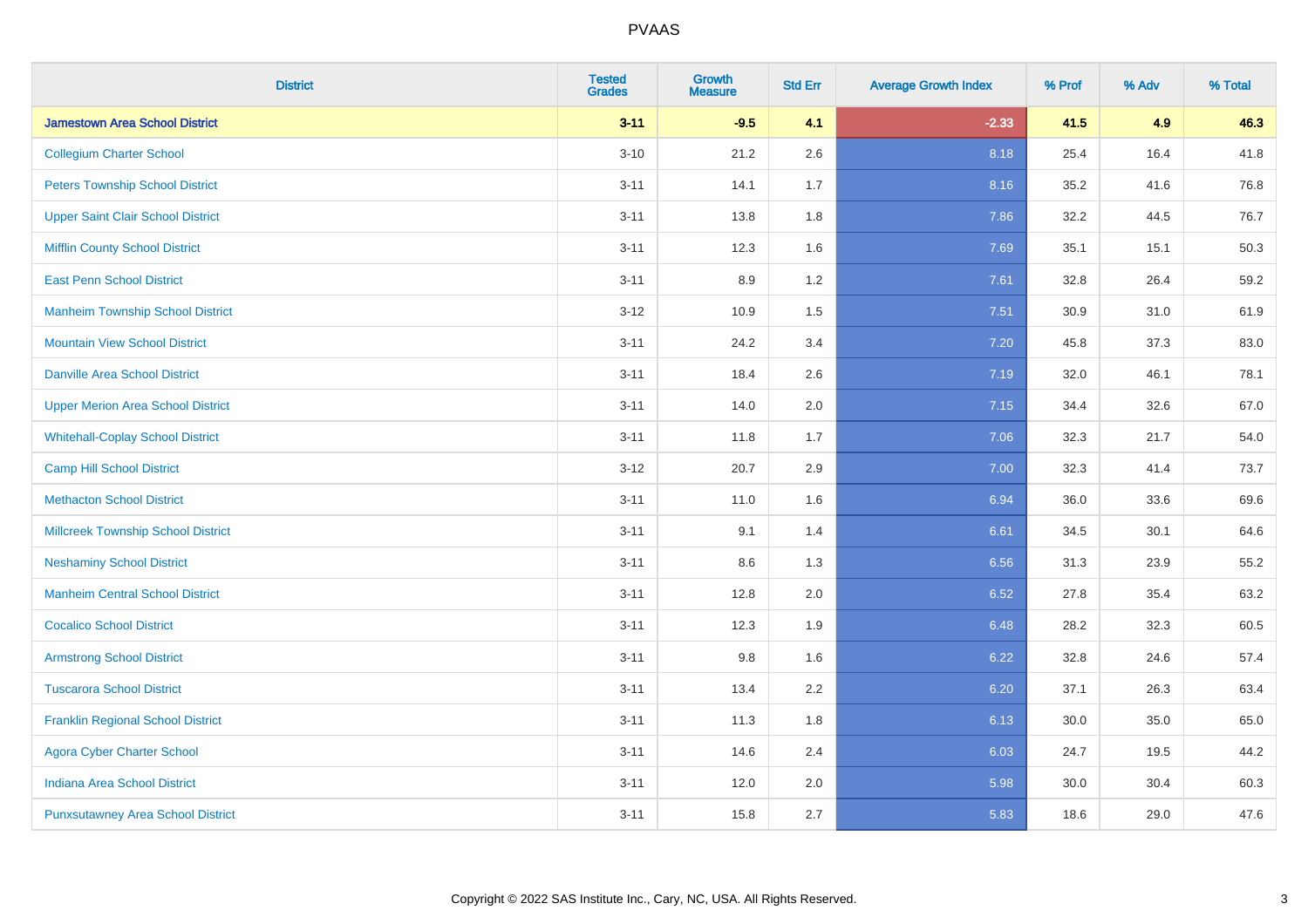| <b>District</b>                           | <b>Tested</b><br><b>Grades</b> | <b>Growth</b><br><b>Measure</b> | <b>Std Err</b> | <b>Average Growth Index</b> | % Prof | % Adv | % Total |
|-------------------------------------------|--------------------------------|---------------------------------|----------------|-----------------------------|--------|-------|---------|
| <b>Jamestown Area School District</b>     | $3 - 11$                       | $-9.5$                          | 4.1            | $-2.33$                     | 41.5   | 4.9   | 46.3    |
| <b>Collegium Charter School</b>           | $3 - 10$                       | 21.2                            | 2.6            | 8.18                        | 25.4   | 16.4  | 41.8    |
| <b>Peters Township School District</b>    | $3 - 11$                       | 14.1                            | 1.7            | 8.16                        | 35.2   | 41.6  | 76.8    |
| <b>Upper Saint Clair School District</b>  | $3 - 11$                       | 13.8                            | 1.8            | 7.86                        | 32.2   | 44.5  | 76.7    |
| <b>Mifflin County School District</b>     | $3 - 11$                       | 12.3                            | 1.6            | 7.69                        | 35.1   | 15.1  | 50.3    |
| <b>East Penn School District</b>          | $3 - 11$                       | 8.9                             | 1.2            | 7.61                        | 32.8   | 26.4  | 59.2    |
| <b>Manheim Township School District</b>   | $3 - 12$                       | 10.9                            | 1.5            | 7.51                        | 30.9   | 31.0  | 61.9    |
| <b>Mountain View School District</b>      | $3 - 11$                       | 24.2                            | 3.4            | 7.20                        | 45.8   | 37.3  | 83.0    |
| <b>Danville Area School District</b>      | $3 - 11$                       | 18.4                            | 2.6            | 7.19                        | 32.0   | 46.1  | 78.1    |
| <b>Upper Merion Area School District</b>  | $3 - 11$                       | 14.0                            | 2.0            | 7.15                        | 34.4   | 32.6  | 67.0    |
| <b>Whitehall-Coplay School District</b>   | $3 - 11$                       | 11.8                            | 1.7            | 7.06                        | 32.3   | 21.7  | 54.0    |
| <b>Camp Hill School District</b>          | $3 - 12$                       | 20.7                            | 2.9            | 7.00                        | 32.3   | 41.4  | 73.7    |
| <b>Methacton School District</b>          | $3 - 11$                       | 11.0                            | 1.6            | 6.94                        | 36.0   | 33.6  | 69.6    |
| <b>Millcreek Township School District</b> | $3 - 11$                       | 9.1                             | 1.4            | 6.61                        | 34.5   | 30.1  | 64.6    |
| <b>Neshaminy School District</b>          | $3 - 11$                       | 8.6                             | 1.3            | 6.56                        | 31.3   | 23.9  | 55.2    |
| <b>Manheim Central School District</b>    | $3 - 11$                       | 12.8                            | 2.0            | 6.52                        | 27.8   | 35.4  | 63.2    |
| <b>Cocalico School District</b>           | $3 - 11$                       | 12.3                            | 1.9            | 6.48                        | 28.2   | 32.3  | 60.5    |
| <b>Armstrong School District</b>          | $3 - 11$                       | 9.8                             | 1.6            | 6.22                        | 32.8   | 24.6  | 57.4    |
| <b>Tuscarora School District</b>          | $3 - 11$                       | 13.4                            | 2.2            | 6.20                        | 37.1   | 26.3  | 63.4    |
| <b>Franklin Regional School District</b>  | $3 - 11$                       | 11.3                            | 1.8            | 6.13                        | 30.0   | 35.0  | 65.0    |
| <b>Agora Cyber Charter School</b>         | $3 - 11$                       | 14.6                            | 2.4            | 6.03                        | 24.7   | 19.5  | 44.2    |
| <b>Indiana Area School District</b>       | $3 - 11$                       | 12.0                            | 2.0            | 5.98                        | 30.0   | 30.4  | 60.3    |
| <b>Punxsutawney Area School District</b>  | $3 - 11$                       | 15.8                            | 2.7            | 5.83                        | 18.6   | 29.0  | 47.6    |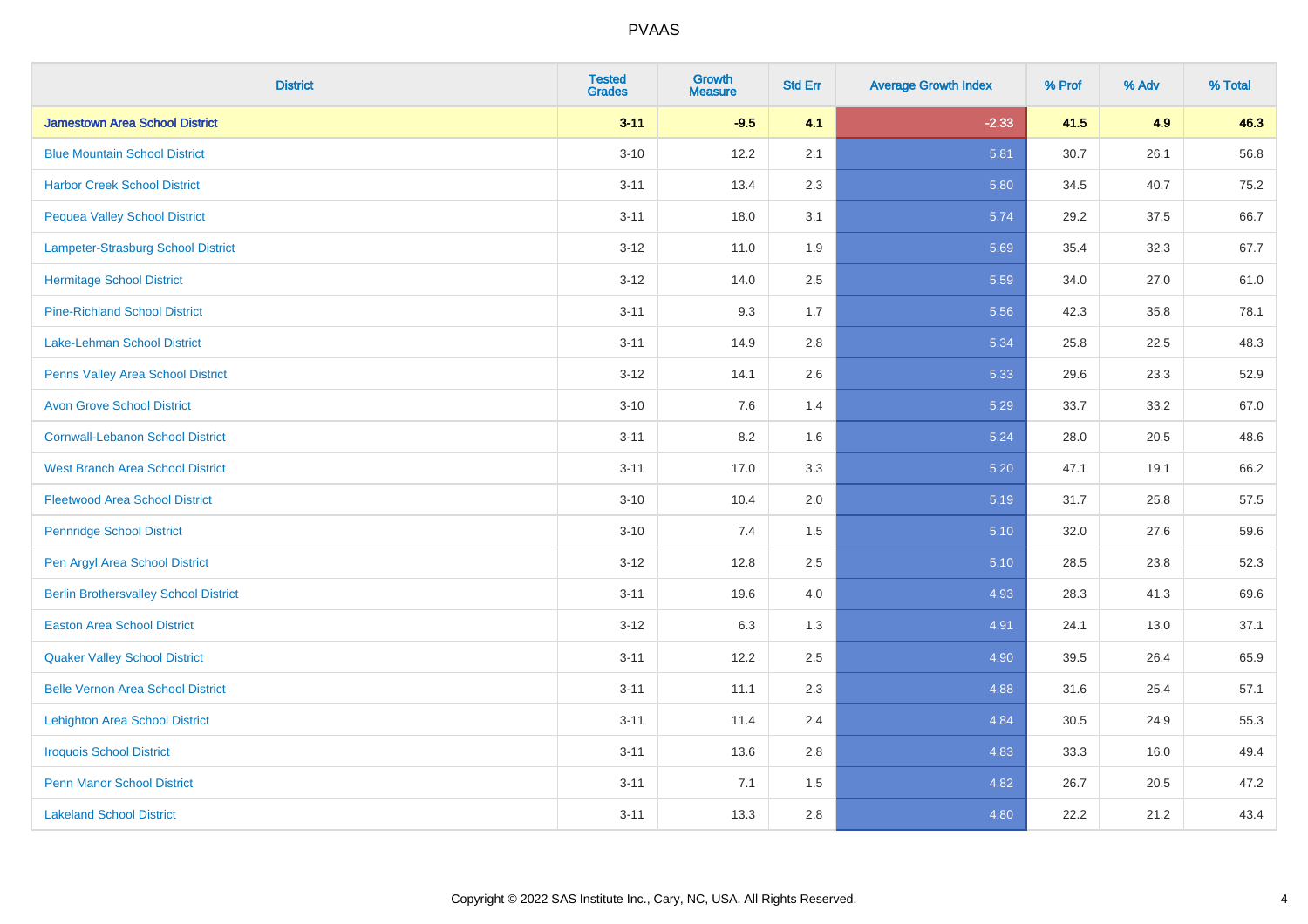| <b>District</b>                              | <b>Tested</b><br><b>Grades</b> | <b>Growth</b><br><b>Measure</b> | <b>Std Err</b> | <b>Average Growth Index</b> | % Prof | % Adv | % Total |
|----------------------------------------------|--------------------------------|---------------------------------|----------------|-----------------------------|--------|-------|---------|
| <b>Jamestown Area School District</b>        | $3 - 11$                       | $-9.5$                          | 4.1            | $-2.33$                     | 41.5   | 4.9   | 46.3    |
| <b>Blue Mountain School District</b>         | $3 - 10$                       | 12.2                            | 2.1            | 5.81                        | 30.7   | 26.1  | 56.8    |
| <b>Harbor Creek School District</b>          | $3 - 11$                       | 13.4                            | 2.3            | 5.80                        | 34.5   | 40.7  | 75.2    |
| <b>Pequea Valley School District</b>         | $3 - 11$                       | 18.0                            | 3.1            | 5.74                        | 29.2   | 37.5  | 66.7    |
| Lampeter-Strasburg School District           | $3 - 12$                       | 11.0                            | 1.9            | 5.69                        | 35.4   | 32.3  | 67.7    |
| <b>Hermitage School District</b>             | $3 - 12$                       | 14.0                            | 2.5            | 5.59                        | 34.0   | 27.0  | 61.0    |
| <b>Pine-Richland School District</b>         | $3 - 11$                       | 9.3                             | 1.7            | 5.56                        | 42.3   | 35.8  | 78.1    |
| <b>Lake-Lehman School District</b>           | $3 - 11$                       | 14.9                            | 2.8            | 5.34                        | 25.8   | 22.5  | 48.3    |
| Penns Valley Area School District            | $3 - 12$                       | 14.1                            | 2.6            | 5.33                        | 29.6   | 23.3  | 52.9    |
| <b>Avon Grove School District</b>            | $3 - 10$                       | 7.6                             | 1.4            | 5.29                        | 33.7   | 33.2  | 67.0    |
| <b>Cornwall-Lebanon School District</b>      | $3 - 11$                       | 8.2                             | 1.6            | 5.24                        | 28.0   | 20.5  | 48.6    |
| <b>West Branch Area School District</b>      | $3 - 11$                       | 17.0                            | 3.3            | 5.20                        | 47.1   | 19.1  | 66.2    |
| <b>Fleetwood Area School District</b>        | $3 - 10$                       | 10.4                            | 2.0            | 5.19                        | 31.7   | 25.8  | 57.5    |
| <b>Pennridge School District</b>             | $3 - 10$                       | 7.4                             | 1.5            | 5.10                        | 32.0   | 27.6  | 59.6    |
| Pen Argyl Area School District               | $3 - 12$                       | 12.8                            | 2.5            | 5.10                        | 28.5   | 23.8  | 52.3    |
| <b>Berlin Brothersvalley School District</b> | $3 - 11$                       | 19.6                            | 4.0            | 4.93                        | 28.3   | 41.3  | 69.6    |
| <b>Easton Area School District</b>           | $3 - 12$                       | 6.3                             | 1.3            | 4.91                        | 24.1   | 13.0  | 37.1    |
| <b>Quaker Valley School District</b>         | $3 - 11$                       | 12.2                            | 2.5            | 4.90                        | 39.5   | 26.4  | 65.9    |
| <b>Belle Vernon Area School District</b>     | $3 - 11$                       | 11.1                            | 2.3            | 4.88                        | 31.6   | 25.4  | 57.1    |
| <b>Lehighton Area School District</b>        | $3 - 11$                       | 11.4                            | 2.4            | 4.84                        | 30.5   | 24.9  | 55.3    |
| <b>Iroquois School District</b>              | $3 - 11$                       | 13.6                            | 2.8            | 4.83                        | 33.3   | 16.0  | 49.4    |
| <b>Penn Manor School District</b>            | $3 - 11$                       | 7.1                             | 1.5            | 4.82                        | 26.7   | 20.5  | 47.2    |
| <b>Lakeland School District</b>              | $3 - 11$                       | 13.3                            | 2.8            | 4.80                        | 22.2   | 21.2  | 43.4    |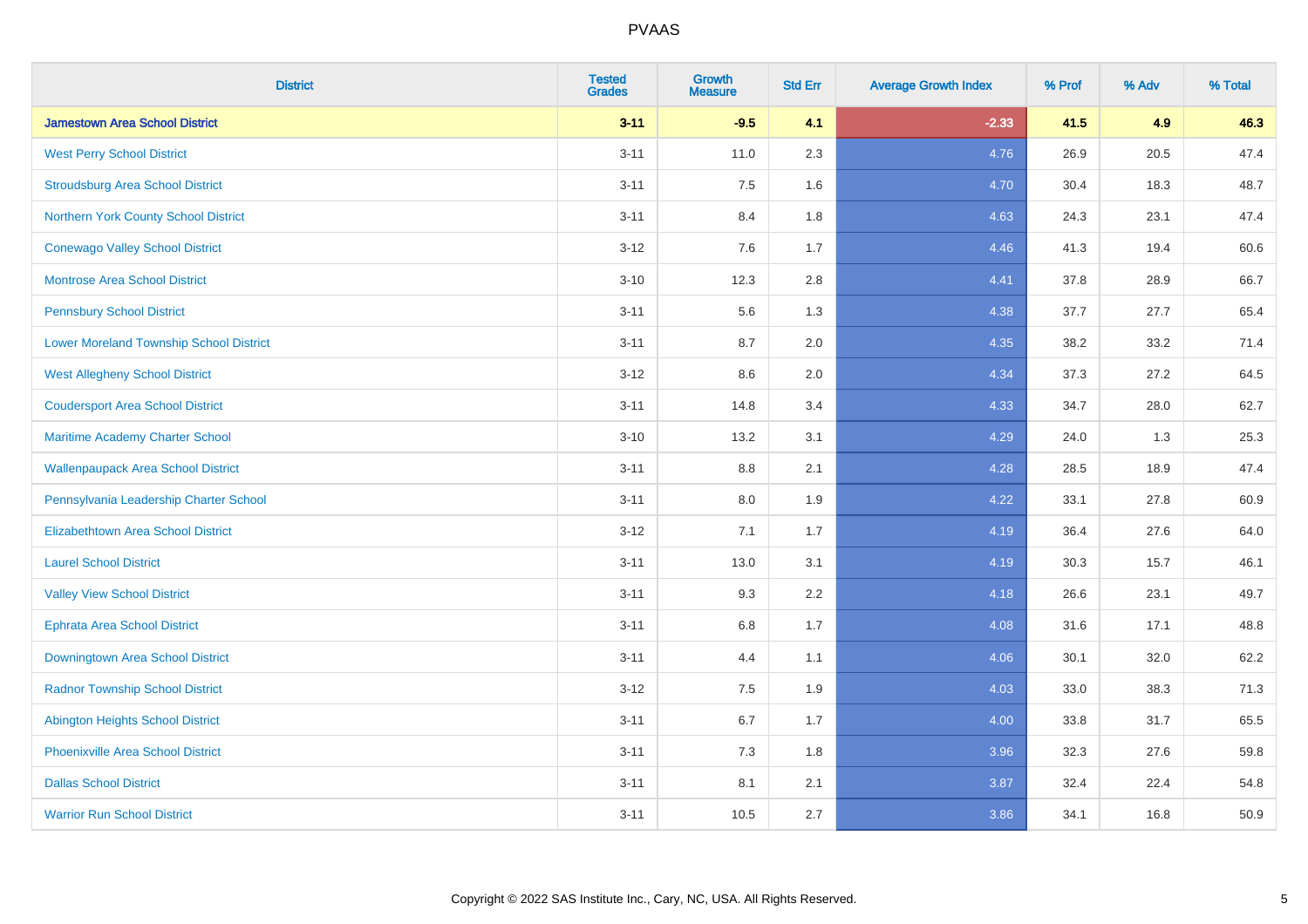| <b>District</b>                                | <b>Tested</b><br><b>Grades</b> | Growth<br><b>Measure</b> | <b>Std Err</b> | <b>Average Growth Index</b> | % Prof | % Adv | % Total |
|------------------------------------------------|--------------------------------|--------------------------|----------------|-----------------------------|--------|-------|---------|
| <b>Jamestown Area School District</b>          | $3 - 11$                       | $-9.5$                   | 4.1            | $-2.33$                     | 41.5   | 4.9   | 46.3    |
| <b>West Perry School District</b>              | $3 - 11$                       | 11.0                     | 2.3            | 4.76                        | 26.9   | 20.5  | 47.4    |
| <b>Stroudsburg Area School District</b>        | $3 - 11$                       | 7.5                      | 1.6            | 4.70                        | 30.4   | 18.3  | 48.7    |
| Northern York County School District           | $3 - 11$                       | 8.4                      | 1.8            | 4.63                        | 24.3   | 23.1  | 47.4    |
| <b>Conewago Valley School District</b>         | $3 - 12$                       | 7.6                      | 1.7            | 4.46                        | 41.3   | 19.4  | 60.6    |
| <b>Montrose Area School District</b>           | $3 - 10$                       | 12.3                     | 2.8            | 4.41                        | 37.8   | 28.9  | 66.7    |
| <b>Pennsbury School District</b>               | $3 - 11$                       | 5.6                      | 1.3            | 4.38                        | 37.7   | 27.7  | 65.4    |
| <b>Lower Moreland Township School District</b> | $3 - 11$                       | 8.7                      | 2.0            | 4.35                        | 38.2   | 33.2  | 71.4    |
| <b>West Allegheny School District</b>          | $3 - 12$                       | 8.6                      | 2.0            | 4.34                        | 37.3   | 27.2  | 64.5    |
| <b>Coudersport Area School District</b>        | $3 - 11$                       | 14.8                     | 3.4            | 4.33                        | 34.7   | 28.0  | 62.7    |
| Maritime Academy Charter School                | $3 - 10$                       | 13.2                     | 3.1            | 4.29                        | 24.0   | 1.3   | 25.3    |
| <b>Wallenpaupack Area School District</b>      | $3 - 11$                       | $8.8\,$                  | 2.1            | 4.28                        | 28.5   | 18.9  | 47.4    |
| Pennsylvania Leadership Charter School         | $3 - 11$                       | 8.0                      | 1.9            | 4.22                        | 33.1   | 27.8  | 60.9    |
| <b>Elizabethtown Area School District</b>      | $3 - 12$                       | 7.1                      | 1.7            | 4.19                        | 36.4   | 27.6  | 64.0    |
| <b>Laurel School District</b>                  | $3 - 11$                       | 13.0                     | 3.1            | 4.19                        | 30.3   | 15.7  | 46.1    |
| <b>Valley View School District</b>             | $3 - 11$                       | 9.3                      | 2.2            | 4.18                        | 26.6   | 23.1  | 49.7    |
| <b>Ephrata Area School District</b>            | $3 - 11$                       | $6.8\,$                  | 1.7            | 4.08                        | 31.6   | 17.1  | 48.8    |
| Downingtown Area School District               | $3 - 11$                       | 4.4                      | 1.1            | 4.06                        | 30.1   | 32.0  | 62.2    |
| <b>Radnor Township School District</b>         | $3 - 12$                       | 7.5                      | 1.9            | 4.03                        | 33.0   | 38.3  | 71.3    |
| <b>Abington Heights School District</b>        | $3 - 11$                       | 6.7                      | 1.7            | 4.00                        | 33.8   | 31.7  | 65.5    |
| Phoenixville Area School District              | $3 - 11$                       | 7.3                      | 1.8            | 3.96                        | 32.3   | 27.6  | 59.8    |
| <b>Dallas School District</b>                  | $3 - 11$                       | 8.1                      | 2.1            | 3.87                        | 32.4   | 22.4  | 54.8    |
| <b>Warrior Run School District</b>             | $3 - 11$                       | 10.5                     | 2.7            | 3.86                        | 34.1   | 16.8  | 50.9    |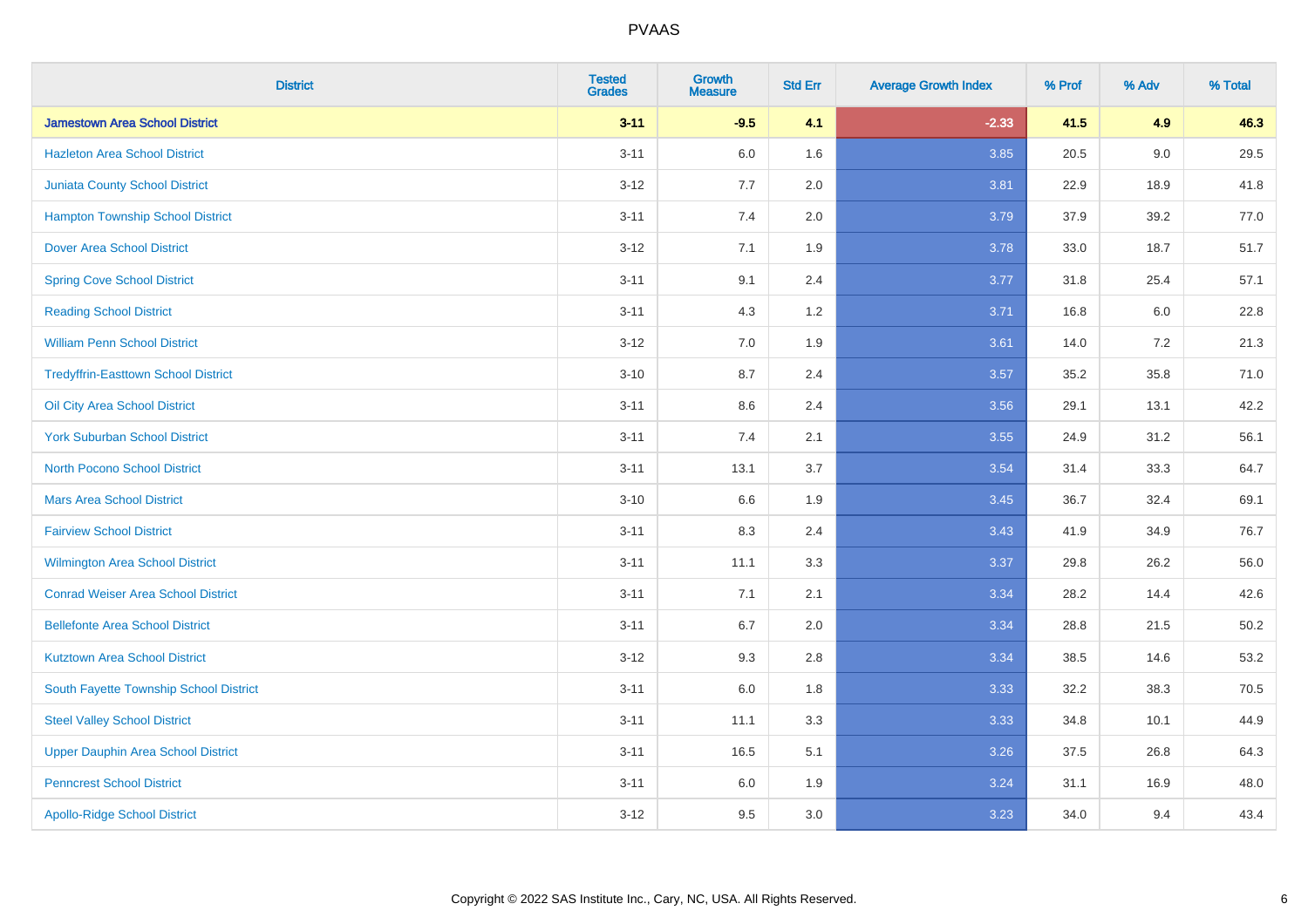| <b>District</b>                            | <b>Tested</b><br><b>Grades</b> | <b>Growth</b><br><b>Measure</b> | <b>Std Err</b> | <b>Average Growth Index</b> | % Prof | % Adv   | % Total  |
|--------------------------------------------|--------------------------------|---------------------------------|----------------|-----------------------------|--------|---------|----------|
| <b>Jamestown Area School District</b>      | $3 - 11$                       | $-9.5$                          | 4.1            | $-2.33$                     | 41.5   | 4.9     | 46.3     |
| <b>Hazleton Area School District</b>       | $3 - 11$                       | 6.0                             | 1.6            | 3.85                        | 20.5   | $9.0\,$ | 29.5     |
| <b>Juniata County School District</b>      | $3 - 12$                       | 7.7                             | 2.0            | 3.81                        | 22.9   | 18.9    | 41.8     |
| <b>Hampton Township School District</b>    | $3 - 11$                       | 7.4                             | 2.0            | 3.79                        | 37.9   | 39.2    | 77.0     |
| <b>Dover Area School District</b>          | $3 - 12$                       | 7.1                             | 1.9            | 3.78                        | 33.0   | 18.7    | 51.7     |
| <b>Spring Cove School District</b>         | $3 - 11$                       | 9.1                             | 2.4            | 3.77                        | 31.8   | 25.4    | 57.1     |
| <b>Reading School District</b>             | $3 - 11$                       | 4.3                             | $1.2$          | 3.71                        | 16.8   | 6.0     | 22.8     |
| <b>William Penn School District</b>        | $3 - 12$                       | 7.0                             | 1.9            | 3.61                        | 14.0   | 7.2     | 21.3     |
| <b>Tredyffrin-Easttown School District</b> | $3 - 10$                       | 8.7                             | 2.4            | 3.57                        | 35.2   | 35.8    | 71.0     |
| Oil City Area School District              | $3 - 11$                       | 8.6                             | 2.4            | 3.56                        | 29.1   | 13.1    | 42.2     |
| <b>York Suburban School District</b>       | $3 - 11$                       | 7.4                             | 2.1            | 3.55                        | 24.9   | 31.2    | 56.1     |
| <b>North Pocono School District</b>        | $3 - 11$                       | 13.1                            | 3.7            | 3.54                        | 31.4   | 33.3    | 64.7     |
| <b>Mars Area School District</b>           | $3 - 10$                       | 6.6                             | 1.9            | 3.45                        | 36.7   | 32.4    | 69.1     |
| <b>Fairview School District</b>            | $3 - 11$                       | 8.3                             | 2.4            | 3.43                        | 41.9   | 34.9    | 76.7     |
| Wilmington Area School District            | $3 - 11$                       | 11.1                            | 3.3            | 3.37                        | 29.8   | 26.2    | 56.0     |
| <b>Conrad Weiser Area School District</b>  | $3 - 11$                       | 7.1                             | 2.1            | 3.34                        | 28.2   | 14.4    | 42.6     |
| <b>Bellefonte Area School District</b>     | $3 - 11$                       | 6.7                             | 2.0            | 3.34                        | 28.8   | 21.5    | $50.2\,$ |
| <b>Kutztown Area School District</b>       | $3 - 12$                       | 9.3                             | 2.8            | 3.34                        | 38.5   | 14.6    | 53.2     |
| South Fayette Township School District     | $3 - 11$                       | $6.0\,$                         | 1.8            | 3.33                        | 32.2   | 38.3    | 70.5     |
| <b>Steel Valley School District</b>        | $3 - 11$                       | 11.1                            | 3.3            | 3.33                        | 34.8   | 10.1    | 44.9     |
| <b>Upper Dauphin Area School District</b>  | $3 - 11$                       | 16.5                            | 5.1            | 3.26                        | 37.5   | 26.8    | 64.3     |
| <b>Penncrest School District</b>           | $3 - 11$                       | 6.0                             | 1.9            | 3.24                        | 31.1   | 16.9    | 48.0     |
| <b>Apollo-Ridge School District</b>        | $3-12$                         | 9.5                             | 3.0            | 3.23                        | 34.0   | 9.4     | 43.4     |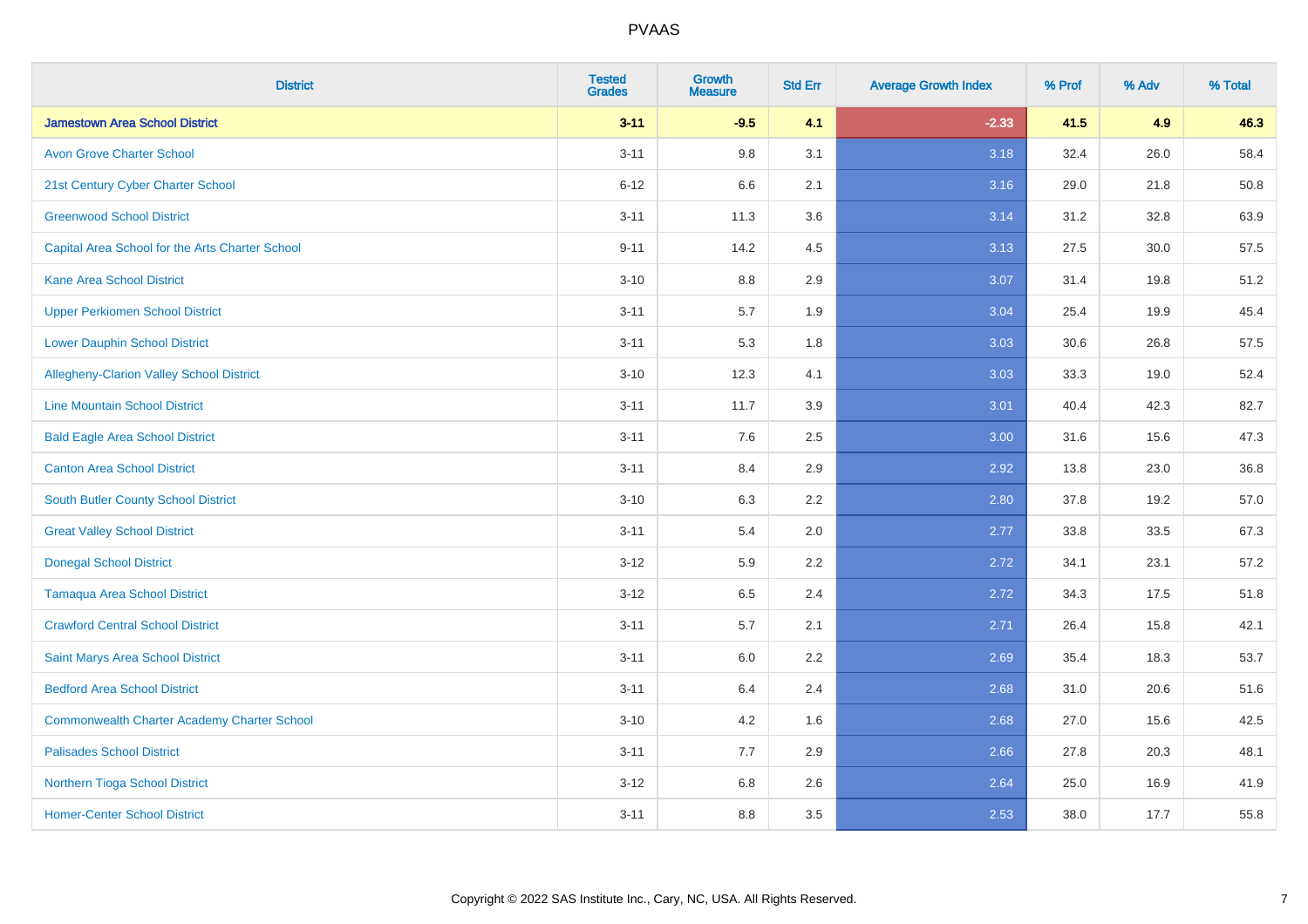| <b>District</b>                                    | <b>Tested</b><br><b>Grades</b> | <b>Growth</b><br><b>Measure</b> | <b>Std Err</b> | <b>Average Growth Index</b> | % Prof | % Adv | % Total |
|----------------------------------------------------|--------------------------------|---------------------------------|----------------|-----------------------------|--------|-------|---------|
| <b>Jamestown Area School District</b>              | $3 - 11$                       | $-9.5$                          | 4.1            | $-2.33$                     | 41.5   | 4.9   | 46.3    |
| <b>Avon Grove Charter School</b>                   | $3 - 11$                       | 9.8                             | 3.1            | 3.18                        | 32.4   | 26.0  | 58.4    |
| 21st Century Cyber Charter School                  | $6 - 12$                       | 6.6                             | 2.1            | 3.16                        | 29.0   | 21.8  | 50.8    |
| <b>Greenwood School District</b>                   | $3 - 11$                       | 11.3                            | 3.6            | 3.14                        | 31.2   | 32.8  | 63.9    |
| Capital Area School for the Arts Charter School    | $9 - 11$                       | 14.2                            | 4.5            | 3.13                        | 27.5   | 30.0  | 57.5    |
| <b>Kane Area School District</b>                   | $3 - 10$                       | 8.8                             | 2.9            | 3.07                        | 31.4   | 19.8  | 51.2    |
| <b>Upper Perkiomen School District</b>             | $3 - 11$                       | 5.7                             | 1.9            | 3.04                        | 25.4   | 19.9  | 45.4    |
| <b>Lower Dauphin School District</b>               | $3 - 11$                       | 5.3                             | 1.8            | 3.03                        | 30.6   | 26.8  | 57.5    |
| Allegheny-Clarion Valley School District           | $3 - 10$                       | 12.3                            | 4.1            | 3.03                        | 33.3   | 19.0  | 52.4    |
| <b>Line Mountain School District</b>               | $3 - 11$                       | 11.7                            | 3.9            | 3.01                        | 40.4   | 42.3  | 82.7    |
| <b>Bald Eagle Area School District</b>             | $3 - 11$                       | 7.6                             | 2.5            | 3.00                        | 31.6   | 15.6  | 47.3    |
| <b>Canton Area School District</b>                 | $3 - 11$                       | 8.4                             | 2.9            | 2.92                        | 13.8   | 23.0  | 36.8    |
| <b>South Butler County School District</b>         | $3 - 10$                       | 6.3                             | 2.2            | 2.80                        | 37.8   | 19.2  | 57.0    |
| <b>Great Valley School District</b>                | $3 - 11$                       | 5.4                             | 2.0            | 2.77                        | 33.8   | 33.5  | 67.3    |
| <b>Donegal School District</b>                     | $3 - 12$                       | 5.9                             | 2.2            | 2.72                        | 34.1   | 23.1  | 57.2    |
| <b>Tamaqua Area School District</b>                | $3 - 12$                       | 6.5                             | 2.4            | 2.72                        | 34.3   | 17.5  | 51.8    |
| <b>Crawford Central School District</b>            | $3 - 11$                       | 5.7                             | 2.1            | 2.71                        | 26.4   | 15.8  | 42.1    |
| Saint Marys Area School District                   | $3 - 11$                       | 6.0                             | 2.2            | 2.69                        | 35.4   | 18.3  | 53.7    |
| <b>Bedford Area School District</b>                | $3 - 11$                       | 6.4                             | 2.4            | 2.68                        | 31.0   | 20.6  | 51.6    |
| <b>Commonwealth Charter Academy Charter School</b> | $3 - 10$                       | 4.2                             | 1.6            | 2.68                        | 27.0   | 15.6  | 42.5    |
| <b>Palisades School District</b>                   | $3 - 11$                       | 7.7                             | 2.9            | 2.66                        | 27.8   | 20.3  | 48.1    |
| <b>Northern Tioga School District</b>              | $3 - 12$                       | 6.8                             | 2.6            | 2.64                        | 25.0   | 16.9  | 41.9    |
| <b>Homer-Center School District</b>                | $3 - 11$                       | 8.8                             | 3.5            | 2.53                        | 38.0   | 17.7  | 55.8    |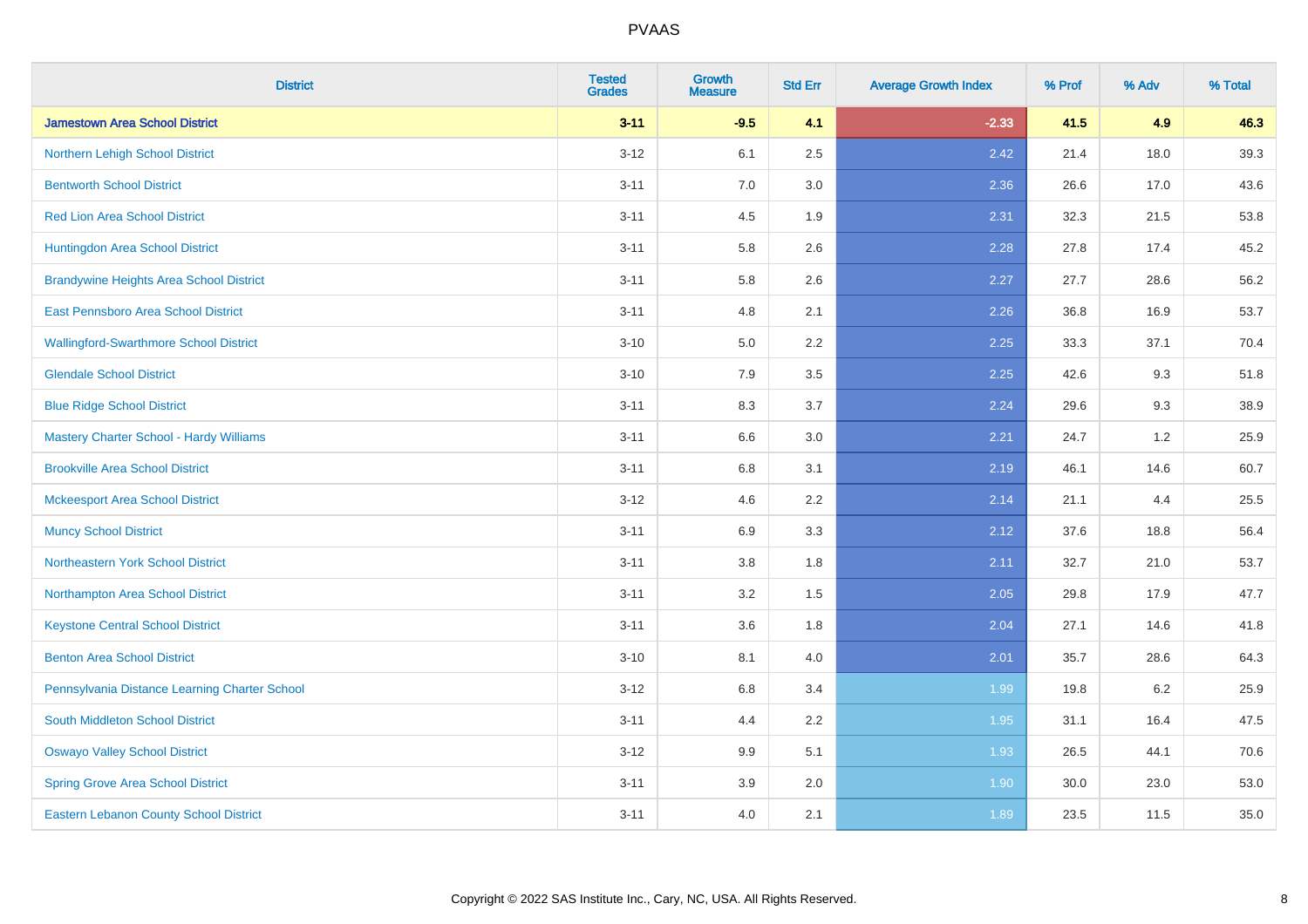| <b>District</b>                                | <b>Tested</b><br><b>Grades</b> | Growth<br><b>Measure</b> | <b>Std Err</b> | <b>Average Growth Index</b> | % Prof | % Adv | % Total |
|------------------------------------------------|--------------------------------|--------------------------|----------------|-----------------------------|--------|-------|---------|
| <b>Jamestown Area School District</b>          | $3 - 11$                       | $-9.5$                   | 4.1            | $-2.33$                     | 41.5   | 4.9   | 46.3    |
| Northern Lehigh School District                | $3 - 12$                       | 6.1                      | 2.5            | 2.42                        | 21.4   | 18.0  | 39.3    |
| <b>Bentworth School District</b>               | $3 - 11$                       | 7.0                      | 3.0            | 2.36                        | 26.6   | 17.0  | 43.6    |
| <b>Red Lion Area School District</b>           | $3 - 11$                       | 4.5                      | 1.9            | 2.31                        | 32.3   | 21.5  | 53.8    |
| Huntingdon Area School District                | $3 - 11$                       | 5.8                      | 2.6            | 2.28                        | 27.8   | 17.4  | 45.2    |
| <b>Brandywine Heights Area School District</b> | $3 - 11$                       | 5.8                      | 2.6            | 2.27                        | 27.7   | 28.6  | 56.2    |
| East Pennsboro Area School District            | $3 - 11$                       | 4.8                      | 2.1            | 2.26                        | 36.8   | 16.9  | 53.7    |
| <b>Wallingford-Swarthmore School District</b>  | $3 - 10$                       | 5.0                      | 2.2            | 2.25                        | 33.3   | 37.1  | 70.4    |
| <b>Glendale School District</b>                | $3 - 10$                       | 7.9                      | 3.5            | 2.25                        | 42.6   | 9.3   | 51.8    |
| <b>Blue Ridge School District</b>              | $3 - 11$                       | $8.3\,$                  | 3.7            | 2.24                        | 29.6   | 9.3   | 38.9    |
| <b>Mastery Charter School - Hardy Williams</b> | $3 - 11$                       | 6.6                      | 3.0            | 2.21                        | 24.7   | 1.2   | 25.9    |
| <b>Brookville Area School District</b>         | $3 - 11$                       | $6.8\,$                  | 3.1            | 2.19                        | 46.1   | 14.6  | 60.7    |
| <b>Mckeesport Area School District</b>         | $3 - 12$                       | 4.6                      | 2.2            | 2.14                        | 21.1   | 4.4   | 25.5    |
| <b>Muncy School District</b>                   | $3 - 11$                       | 6.9                      | 3.3            | 2.12                        | 37.6   | 18.8  | 56.4    |
| <b>Northeastern York School District</b>       | $3 - 11$                       | $3.8\,$                  | 1.8            | 2.11                        | 32.7   | 21.0  | 53.7    |
| Northampton Area School District               | $3 - 11$                       | 3.2                      | 1.5            | 2.05                        | 29.8   | 17.9  | 47.7    |
| <b>Keystone Central School District</b>        | $3 - 11$                       | 3.6                      | 1.8            | 2.04                        | 27.1   | 14.6  | 41.8    |
| <b>Benton Area School District</b>             | $3 - 10$                       | 8.1                      | 4.0            | 2.01                        | 35.7   | 28.6  | 64.3    |
| Pennsylvania Distance Learning Charter School  | $3 - 12$                       | 6.8                      | 3.4            | 1.99                        | 19.8   | 6.2   | 25.9    |
| South Middleton School District                | $3 - 11$                       | 4.4                      | 2.2            | 1.95                        | 31.1   | 16.4  | 47.5    |
| <b>Oswayo Valley School District</b>           | $3 - 12$                       | 9.9                      | 5.1            | 1.93                        | 26.5   | 44.1  | 70.6    |
| <b>Spring Grove Area School District</b>       | $3 - 11$                       | 3.9                      | 2.0            | 1.90                        | 30.0   | 23.0  | 53.0    |
| <b>Eastern Lebanon County School District</b>  | $3 - 11$                       | $4.0\,$                  | 2.1            | 1.89                        | 23.5   | 11.5  | 35.0    |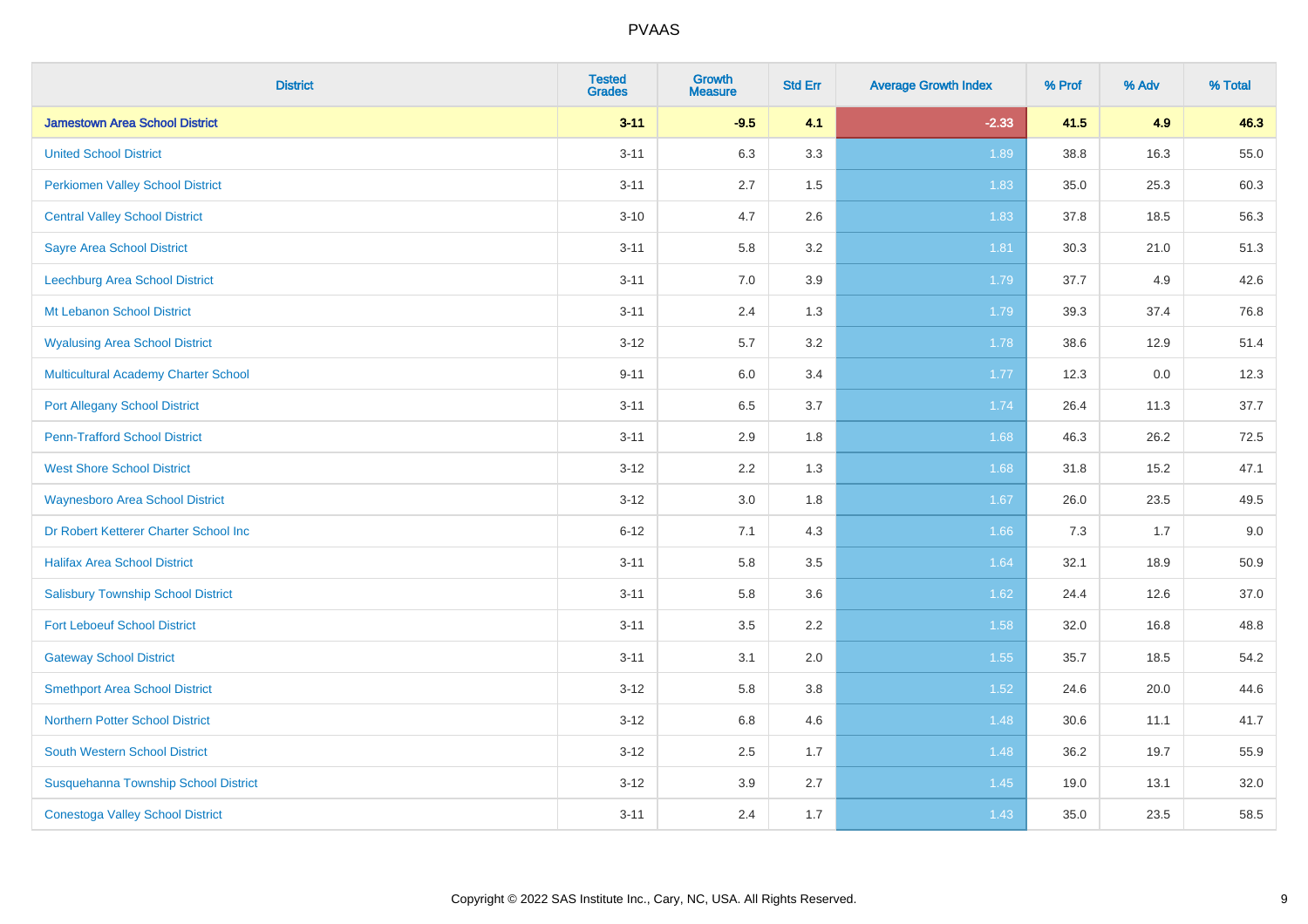| <b>District</b>                             | <b>Tested</b><br><b>Grades</b> | Growth<br><b>Measure</b> | <b>Std Err</b> | <b>Average Growth Index</b> | % Prof | % Adv | % Total |
|---------------------------------------------|--------------------------------|--------------------------|----------------|-----------------------------|--------|-------|---------|
| <b>Jamestown Area School District</b>       | $3 - 11$                       | $-9.5$                   | 4.1            | $-2.33$                     | 41.5   | 4.9   | 46.3    |
| <b>United School District</b>               | $3 - 11$                       | 6.3                      | 3.3            | 1.89                        | 38.8   | 16.3  | 55.0    |
| <b>Perkiomen Valley School District</b>     | $3 - 11$                       | 2.7                      | 1.5            | 1.83                        | 35.0   | 25.3  | 60.3    |
| <b>Central Valley School District</b>       | $3 - 10$                       | 4.7                      | 2.6            | 1.83                        | 37.8   | 18.5  | 56.3    |
| <b>Sayre Area School District</b>           | $3 - 11$                       | 5.8                      | 3.2            | 1.81                        | 30.3   | 21.0  | 51.3    |
| Leechburg Area School District              | $3 - 11$                       | 7.0                      | 3.9            | 1.79                        | 37.7   | 4.9   | 42.6    |
| Mt Lebanon School District                  | $3 - 11$                       | 2.4                      | 1.3            | 1.79                        | 39.3   | 37.4  | 76.8    |
| <b>Wyalusing Area School District</b>       | $3 - 12$                       | 5.7                      | 3.2            | 1.78                        | 38.6   | 12.9  | 51.4    |
| <b>Multicultural Academy Charter School</b> | $9 - 11$                       | 6.0                      | 3.4            | 1.77                        | 12.3   | 0.0   | 12.3    |
| <b>Port Allegany School District</b>        | $3 - 11$                       | $6.5\,$                  | 3.7            | 1.74                        | 26.4   | 11.3  | 37.7    |
| <b>Penn-Trafford School District</b>        | $3 - 11$                       | 2.9                      | 1.8            | 1.68                        | 46.3   | 26.2  | 72.5    |
| <b>West Shore School District</b>           | $3 - 12$                       | 2.2                      | 1.3            | 1.68                        | 31.8   | 15.2  | 47.1    |
| <b>Waynesboro Area School District</b>      | $3 - 12$                       | 3.0                      | 1.8            | 1.67                        | 26.0   | 23.5  | 49.5    |
| Dr Robert Ketterer Charter School Inc       | $6 - 12$                       | 7.1                      | 4.3            | 1.66                        | 7.3    | 1.7   | 9.0     |
| <b>Halifax Area School District</b>         | $3 - 11$                       | 5.8                      | 3.5            | 1.64                        | 32.1   | 18.9  | 50.9    |
| <b>Salisbury Township School District</b>   | $3 - 11$                       | 5.8                      | 3.6            | 1.62                        | 24.4   | 12.6  | 37.0    |
| <b>Fort Leboeuf School District</b>         | $3 - 11$                       | 3.5                      | 2.2            | 1.58                        | 32.0   | 16.8  | 48.8    |
| <b>Gateway School District</b>              | $3 - 11$                       | 3.1                      | 2.0            | 1.55                        | 35.7   | 18.5  | 54.2    |
| <b>Smethport Area School District</b>       | $3 - 12$                       | 5.8                      | 3.8            | $1.52$                      | 24.6   | 20.0  | 44.6    |
| <b>Northern Potter School District</b>      | $3 - 12$                       | 6.8                      | 4.6            | 1.48                        | 30.6   | 11.1  | 41.7    |
| South Western School District               | $3 - 12$                       | 2.5                      | 1.7            | 1.48                        | 36.2   | 19.7  | 55.9    |
| Susquehanna Township School District        | $3 - 12$                       | 3.9                      | 2.7            | 1.45                        | 19.0   | 13.1  | 32.0    |
| <b>Conestoga Valley School District</b>     | $3 - 11$                       | 2.4                      | 1.7            | 1.43                        | 35.0   | 23.5  | 58.5    |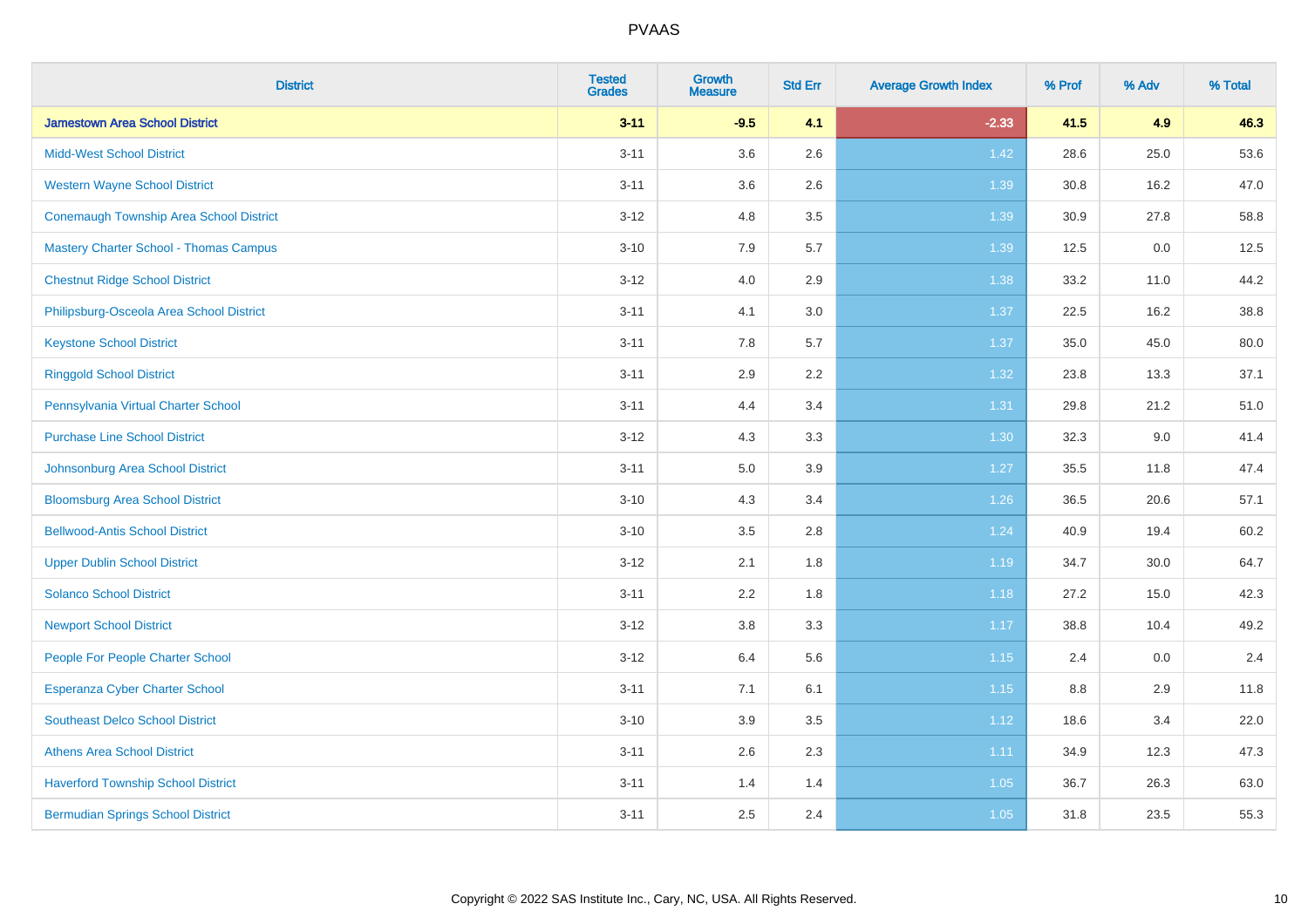| <b>District</b>                                | <b>Tested</b><br><b>Grades</b> | Growth<br><b>Measure</b> | <b>Std Err</b> | <b>Average Growth Index</b> | % Prof | % Adv | % Total |
|------------------------------------------------|--------------------------------|--------------------------|----------------|-----------------------------|--------|-------|---------|
| <b>Jamestown Area School District</b>          | $3 - 11$                       | $-9.5$                   | 4.1            | $-2.33$                     | 41.5   | 4.9   | 46.3    |
| <b>Midd-West School District</b>               | $3 - 11$                       | 3.6                      | 2.6            | 1.42                        | 28.6   | 25.0  | 53.6    |
| <b>Western Wayne School District</b>           | $3 - 11$                       | 3.6                      | 2.6            | 1.39                        | 30.8   | 16.2  | 47.0    |
| <b>Conemaugh Township Area School District</b> | $3 - 12$                       | 4.8                      | 3.5            | 1.39                        | 30.9   | 27.8  | 58.8    |
| <b>Mastery Charter School - Thomas Campus</b>  | $3 - 10$                       | 7.9                      | 5.7            | 1.39                        | 12.5   | 0.0   | 12.5    |
| <b>Chestnut Ridge School District</b>          | $3 - 12$                       | 4.0                      | 2.9            | 1.38                        | 33.2   | 11.0  | 44.2    |
| Philipsburg-Osceola Area School District       | $3 - 11$                       | 4.1                      | 3.0            | 1.37                        | 22.5   | 16.2  | 38.8    |
| <b>Keystone School District</b>                | $3 - 11$                       | 7.8                      | 5.7            | 1.37                        | 35.0   | 45.0  | 80.0    |
| <b>Ringgold School District</b>                | $3 - 11$                       | 2.9                      | 2.2            | 1.32                        | 23.8   | 13.3  | 37.1    |
| Pennsylvania Virtual Charter School            | $3 - 11$                       | 4.4                      | 3.4            | 1.31                        | 29.8   | 21.2  | 51.0    |
| <b>Purchase Line School District</b>           | $3 - 12$                       | 4.3                      | 3.3            | 1.30                        | 32.3   | 9.0   | 41.4    |
| Johnsonburg Area School District               | $3 - 11$                       | 5.0                      | 3.9            | 1.27                        | 35.5   | 11.8  | 47.4    |
| <b>Bloomsburg Area School District</b>         | $3 - 10$                       | 4.3                      | 3.4            | $1.26$                      | 36.5   | 20.6  | 57.1    |
| <b>Bellwood-Antis School District</b>          | $3 - 10$                       | 3.5                      | 2.8            | 1.24                        | 40.9   | 19.4  | 60.2    |
| <b>Upper Dublin School District</b>            | $3 - 12$                       | 2.1                      | 1.8            | 1.19                        | 34.7   | 30.0  | 64.7    |
| <b>Solanco School District</b>                 | $3 - 11$                       | 2.2                      | 1.8            | 1.18                        | 27.2   | 15.0  | 42.3    |
| <b>Newport School District</b>                 | $3 - 12$                       | $3.8\,$                  | 3.3            | 1.17                        | 38.8   | 10.4  | 49.2    |
| People For People Charter School               | $3 - 12$                       | 6.4                      | 5.6            | 1.15                        | 2.4    | 0.0   | 2.4     |
| Esperanza Cyber Charter School                 | $3 - 11$                       | 7.1                      | 6.1            | 1.15                        | 8.8    | 2.9   | 11.8    |
| <b>Southeast Delco School District</b>         | $3 - 10$                       | 3.9                      | 3.5            | 1.12                        | 18.6   | 3.4   | 22.0    |
| <b>Athens Area School District</b>             | $3 - 11$                       | 2.6                      | 2.3            | 1.11                        | 34.9   | 12.3  | 47.3    |
| <b>Haverford Township School District</b>      | $3 - 11$                       | 1.4                      | 1.4            | 1.05                        | 36.7   | 26.3  | 63.0    |
| <b>Bermudian Springs School District</b>       | $3 - 11$                       | 2.5                      | 2.4            | 1.05                        | 31.8   | 23.5  | 55.3    |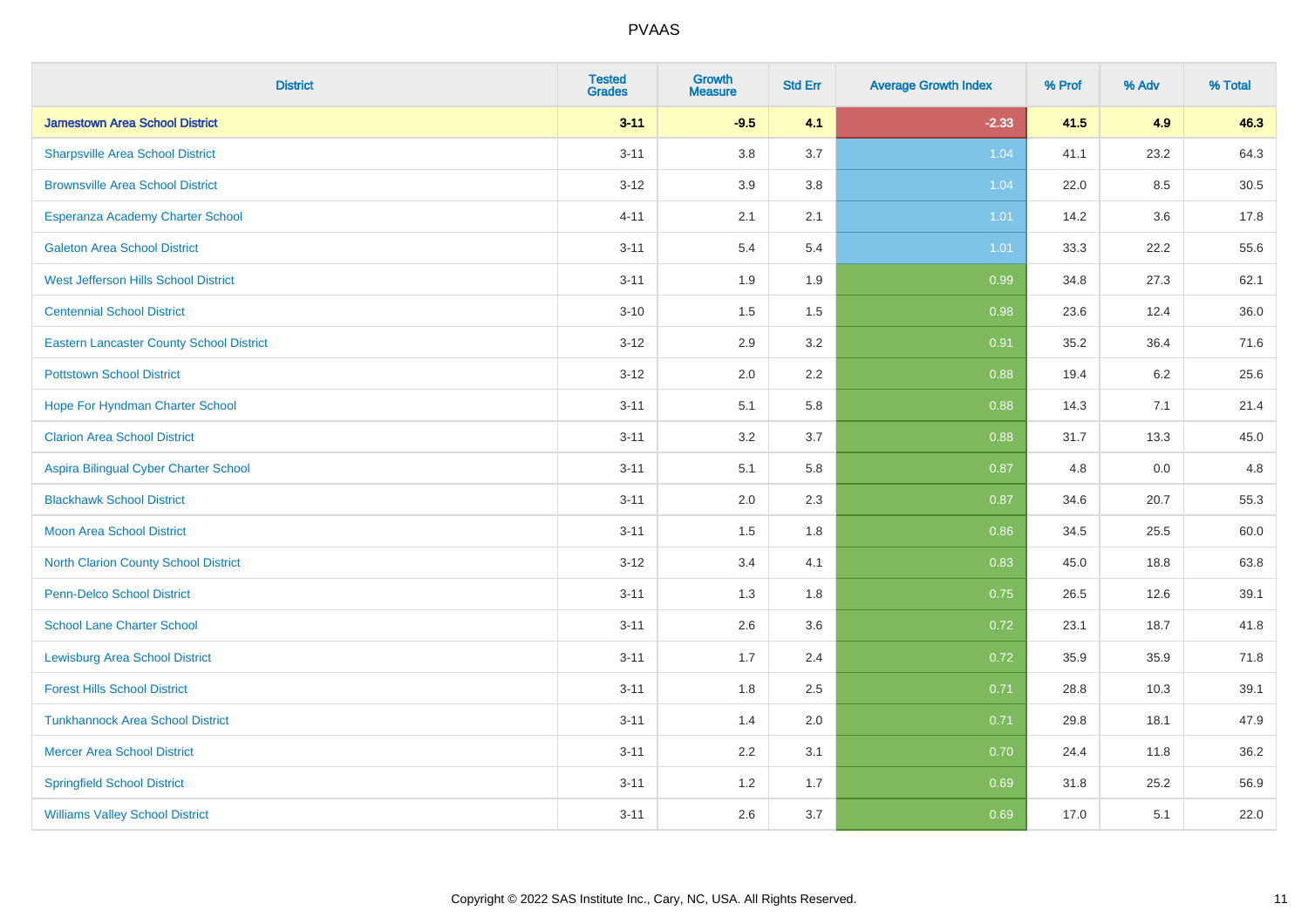| <b>District</b>                                 | <b>Tested</b><br><b>Grades</b> | <b>Growth</b><br><b>Measure</b> | <b>Std Err</b> | <b>Average Growth Index</b> | % Prof | % Adv | % Total |
|-------------------------------------------------|--------------------------------|---------------------------------|----------------|-----------------------------|--------|-------|---------|
| <b>Jamestown Area School District</b>           | $3 - 11$                       | $-9.5$                          | 4.1            | $-2.33$                     | 41.5   | 4.9   | 46.3    |
| <b>Sharpsville Area School District</b>         | $3 - 11$                       | 3.8                             | 3.7            | 1.04                        | 41.1   | 23.2  | 64.3    |
| <b>Brownsville Area School District</b>         | $3 - 12$                       | 3.9                             | 3.8            | 1.04                        | 22.0   | 8.5   | 30.5    |
| Esperanza Academy Charter School                | $4 - 11$                       | 2.1                             | 2.1            | 1.01                        | 14.2   | 3.6   | 17.8    |
| <b>Galeton Area School District</b>             | $3 - 11$                       | 5.4                             | 5.4            | $1.01$                      | 33.3   | 22.2  | 55.6    |
| <b>West Jefferson Hills School District</b>     | $3 - 11$                       | 1.9                             | 1.9            | 0.99                        | 34.8   | 27.3  | 62.1    |
| <b>Centennial School District</b>               | $3 - 10$                       | 1.5                             | 1.5            | 0.98                        | 23.6   | 12.4  | 36.0    |
| <b>Eastern Lancaster County School District</b> | $3 - 12$                       | 2.9                             | 3.2            | 0.91                        | 35.2   | 36.4  | 71.6    |
| <b>Pottstown School District</b>                | $3 - 12$                       | 2.0                             | 2.2            | 0.88                        | 19.4   | 6.2   | 25.6    |
| Hope For Hyndman Charter School                 | $3 - 11$                       | 5.1                             | 5.8            | 0.88                        | 14.3   | 7.1   | 21.4    |
| <b>Clarion Area School District</b>             | $3 - 11$                       | 3.2                             | 3.7            | 0.88                        | 31.7   | 13.3  | 45.0    |
| Aspira Bilingual Cyber Charter School           | $3 - 11$                       | 5.1                             | 5.8            | 0.87                        | 4.8    | 0.0   | 4.8     |
| <b>Blackhawk School District</b>                | $3 - 11$                       | 2.0                             | 2.3            | 0.87                        | 34.6   | 20.7  | 55.3    |
| <b>Moon Area School District</b>                | $3 - 11$                       | 1.5                             | 1.8            | 0.86                        | 34.5   | 25.5  | 60.0    |
| <b>North Clarion County School District</b>     | $3 - 12$                       | 3.4                             | 4.1            | 0.83                        | 45.0   | 18.8  | 63.8    |
| <b>Penn-Delco School District</b>               | $3 - 11$                       | 1.3                             | 1.8            | 0.75                        | 26.5   | 12.6  | 39.1    |
| <b>School Lane Charter School</b>               | $3 - 11$                       | 2.6                             | 3.6            | 0.72                        | 23.1   | 18.7  | 41.8    |
| <b>Lewisburg Area School District</b>           | $3 - 11$                       | 1.7                             | 2.4            | 0.72                        | 35.9   | 35.9  | 71.8    |
| <b>Forest Hills School District</b>             | $3 - 11$                       | 1.8                             | 2.5            | 0.71                        | 28.8   | 10.3  | 39.1    |
| <b>Tunkhannock Area School District</b>         | $3 - 11$                       | 1.4                             | 2.0            | 0.71                        | 29.8   | 18.1  | 47.9    |
| <b>Mercer Area School District</b>              | $3 - 11$                       | $2.2\,$                         | 3.1            | 0.70                        | 24.4   | 11.8  | 36.2    |
| <b>Springfield School District</b>              | $3 - 11$                       | 1.2                             | 1.7            | 0.69                        | 31.8   | 25.2  | 56.9    |
| <b>Williams Valley School District</b>          | $3 - 11$                       | 2.6                             | 3.7            | 0.69                        | 17.0   | 5.1   | 22.0    |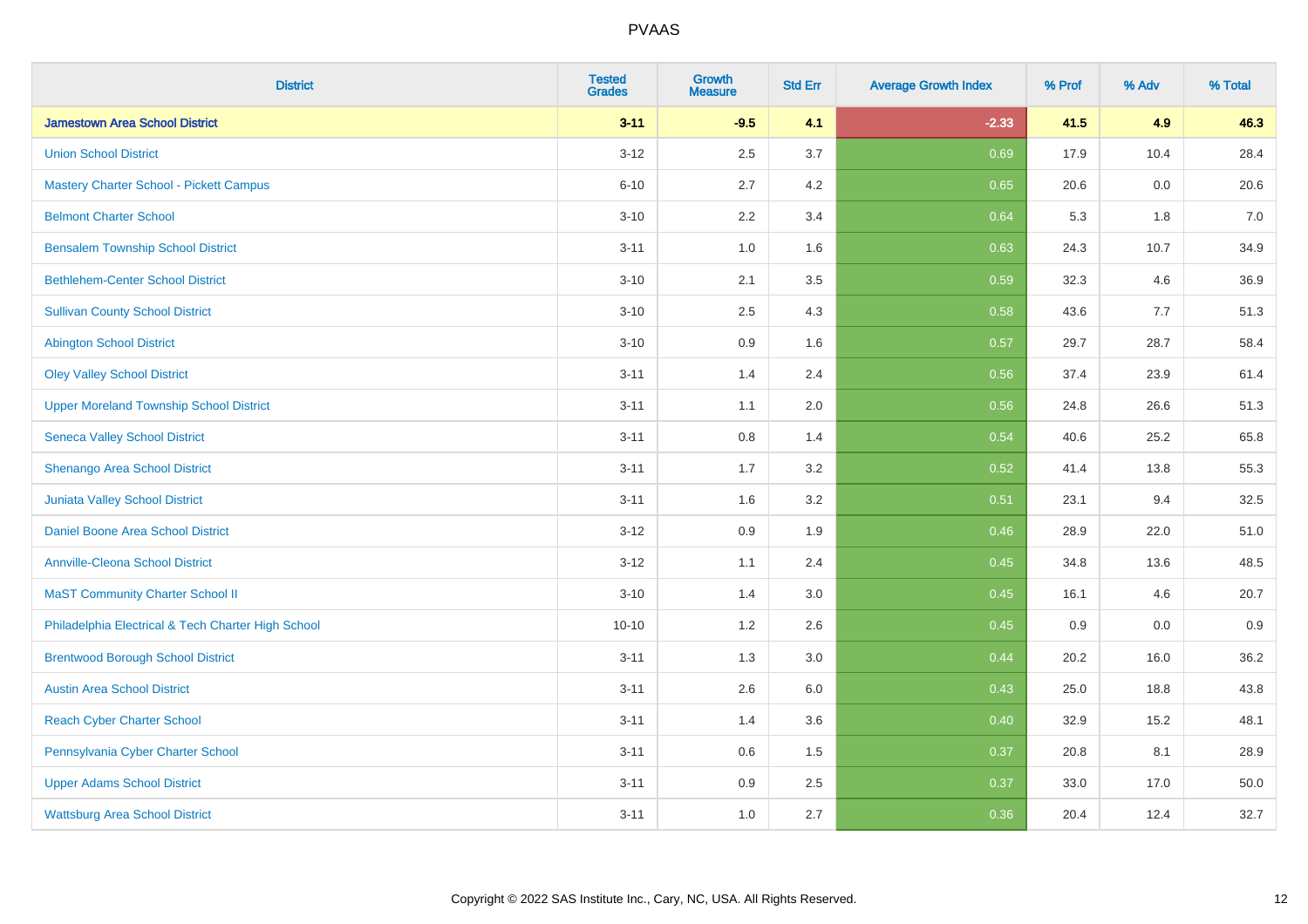| <b>District</b>                                    | <b>Tested</b><br><b>Grades</b> | <b>Growth</b><br><b>Measure</b> | <b>Std Err</b> | <b>Average Growth Index</b> | % Prof | % Adv | % Total |
|----------------------------------------------------|--------------------------------|---------------------------------|----------------|-----------------------------|--------|-------|---------|
| <b>Jamestown Area School District</b>              | $3 - 11$                       | $-9.5$                          | 4.1            | $-2.33$                     | 41.5   | 4.9   | 46.3    |
| <b>Union School District</b>                       | $3 - 12$                       | 2.5                             | 3.7            | 0.69                        | 17.9   | 10.4  | 28.4    |
| <b>Mastery Charter School - Pickett Campus</b>     | $6 - 10$                       | 2.7                             | 4.2            | 0.65                        | 20.6   | 0.0   | 20.6    |
| <b>Belmont Charter School</b>                      | $3 - 10$                       | 2.2                             | 3.4            | 0.64                        | 5.3    | 1.8   | $7.0$   |
| <b>Bensalem Township School District</b>           | $3 - 11$                       | 1.0                             | 1.6            | 0.63                        | 24.3   | 10.7  | 34.9    |
| <b>Bethlehem-Center School District</b>            | $3 - 10$                       | 2.1                             | 3.5            | 0.59                        | 32.3   | 4.6   | 36.9    |
| <b>Sullivan County School District</b>             | $3 - 10$                       | 2.5                             | 4.3            | 0.58                        | 43.6   | 7.7   | 51.3    |
| <b>Abington School District</b>                    | $3 - 10$                       | 0.9                             | 1.6            | 0.57                        | 29.7   | 28.7  | 58.4    |
| <b>Oley Valley School District</b>                 | $3 - 11$                       | 1.4                             | 2.4            | 0.56                        | 37.4   | 23.9  | 61.4    |
| <b>Upper Moreland Township School District</b>     | $3 - 11$                       | 1.1                             | 2.0            | 0.56                        | 24.8   | 26.6  | 51.3    |
| <b>Seneca Valley School District</b>               | $3 - 11$                       | 0.8                             | 1.4            | 0.54                        | 40.6   | 25.2  | 65.8    |
| Shenango Area School District                      | $3 - 11$                       | 1.7                             | 3.2            | 0.52                        | 41.4   | 13.8  | 55.3    |
| Juniata Valley School District                     | $3 - 11$                       | 1.6                             | 3.2            | 0.51                        | 23.1   | 9.4   | 32.5    |
| Daniel Boone Area School District                  | $3 - 12$                       | 0.9                             | 1.9            | 0.46                        | 28.9   | 22.0  | 51.0    |
| <b>Annville-Cleona School District</b>             | $3 - 12$                       | 1.1                             | 2.4            | 0.45                        | 34.8   | 13.6  | 48.5    |
| <b>MaST Community Charter School II</b>            | $3 - 10$                       | 1.4                             | 3.0            | 0.45                        | 16.1   | 4.6   | 20.7    |
| Philadelphia Electrical & Tech Charter High School | $10 - 10$                      | 1.2                             | 2.6            | 0.45                        | 0.9    | 0.0   | 0.9     |
| <b>Brentwood Borough School District</b>           | $3 - 11$                       | 1.3                             | 3.0            | 0.44                        | 20.2   | 16.0  | 36.2    |
| <b>Austin Area School District</b>                 | $3 - 11$                       | 2.6                             | 6.0            | 0.43                        | 25.0   | 18.8  | 43.8    |
| <b>Reach Cyber Charter School</b>                  | $3 - 11$                       | 1.4                             | 3.6            | 0.40                        | 32.9   | 15.2  | 48.1    |
| Pennsylvania Cyber Charter School                  | $3 - 11$                       | 0.6                             | 1.5            | 0.37                        | 20.8   | 8.1   | 28.9    |
| <b>Upper Adams School District</b>                 | $3 - 11$                       | 0.9                             | 2.5            | 0.37                        | 33.0   | 17.0  | 50.0    |
| <b>Wattsburg Area School District</b>              | $3 - 11$                       | 1.0                             | 2.7            | 0.36                        | 20.4   | 12.4  | 32.7    |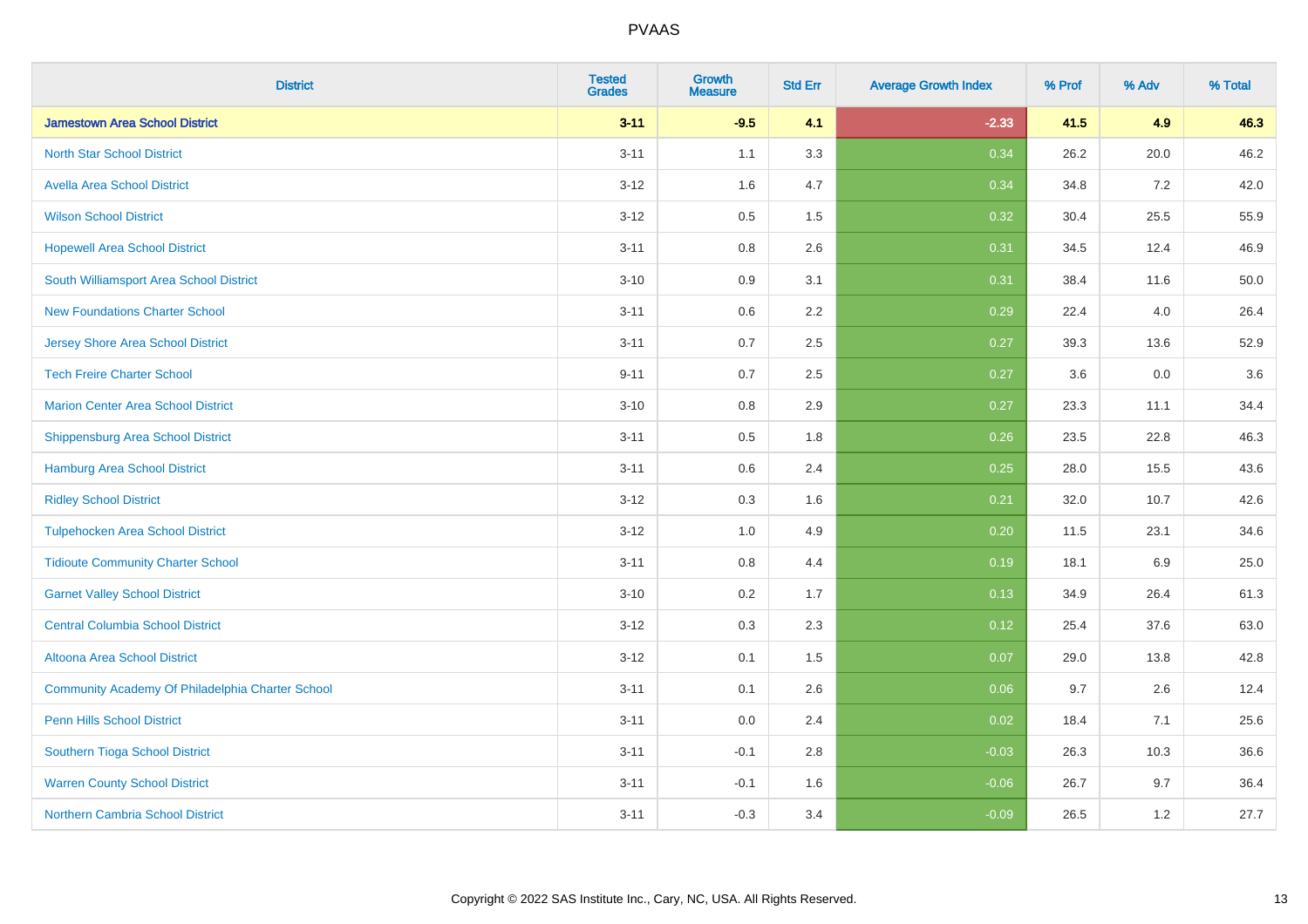| <b>District</b>                                  | <b>Tested</b><br><b>Grades</b> | <b>Growth</b><br><b>Measure</b> | <b>Std Err</b> | <b>Average Growth Index</b> | % Prof | % Adv | % Total |
|--------------------------------------------------|--------------------------------|---------------------------------|----------------|-----------------------------|--------|-------|---------|
| <b>Jamestown Area School District</b>            | $3 - 11$                       | $-9.5$                          | 4.1            | $-2.33$                     | 41.5   | 4.9   | 46.3    |
| <b>North Star School District</b>                | $3 - 11$                       | 1.1                             | 3.3            | 0.34                        | 26.2   | 20.0  | 46.2    |
| <b>Avella Area School District</b>               | $3 - 12$                       | 1.6                             | 4.7            | 0.34                        | 34.8   | 7.2   | 42.0    |
| <b>Wilson School District</b>                    | $3 - 12$                       | 0.5                             | 1.5            | 0.32                        | 30.4   | 25.5  | 55.9    |
| <b>Hopewell Area School District</b>             | $3 - 11$                       | 0.8                             | 2.6            | 0.31                        | 34.5   | 12.4  | 46.9    |
| South Williamsport Area School District          | $3 - 10$                       | 0.9                             | 3.1            | 0.31                        | 38.4   | 11.6  | 50.0    |
| <b>New Foundations Charter School</b>            | $3 - 11$                       | 0.6                             | 2.2            | 0.29                        | 22.4   | 4.0   | 26.4    |
| <b>Jersey Shore Area School District</b>         | $3 - 11$                       | 0.7                             | 2.5            | 0.27                        | 39.3   | 13.6  | 52.9    |
| <b>Tech Freire Charter School</b>                | $9 - 11$                       | 0.7                             | 2.5            | 0.27                        | 3.6    | 0.0   | 3.6     |
| <b>Marion Center Area School District</b>        | $3 - 10$                       | 0.8                             | 2.9            | 0.27                        | 23.3   | 11.1  | 34.4    |
| <b>Shippensburg Area School District</b>         | $3 - 11$                       | 0.5                             | 1.8            | 0.26                        | 23.5   | 22.8  | 46.3    |
| <b>Hamburg Area School District</b>              | $3 - 11$                       | 0.6                             | 2.4            | 0.25                        | 28.0   | 15.5  | 43.6    |
| <b>Ridley School District</b>                    | $3 - 12$                       | 0.3                             | 1.6            | 0.21                        | 32.0   | 10.7  | 42.6    |
| <b>Tulpehocken Area School District</b>          | $3 - 12$                       | 1.0                             | 4.9            | 0.20                        | 11.5   | 23.1  | 34.6    |
| <b>Tidioute Community Charter School</b>         | $3 - 11$                       | 0.8                             | 4.4            | 0.19                        | 18.1   | 6.9   | 25.0    |
| <b>Garnet Valley School District</b>             | $3 - 10$                       | 0.2                             | 1.7            | 0.13                        | 34.9   | 26.4  | 61.3    |
| <b>Central Columbia School District</b>          | $3 - 12$                       | 0.3                             | 2.3            | 0.12                        | 25.4   | 37.6  | 63.0    |
| Altoona Area School District                     | $3 - 12$                       | 0.1                             | 1.5            | 0.07                        | 29.0   | 13.8  | 42.8    |
| Community Academy Of Philadelphia Charter School | $3 - 11$                       | 0.1                             | 2.6            | 0.06                        | 9.7    | 2.6   | 12.4    |
| Penn Hills School District                       | $3 - 11$                       | 0.0                             | 2.4            | 0.02                        | 18.4   | 7.1   | 25.6    |
| Southern Tioga School District                   | $3 - 11$                       | $-0.1$                          | 2.8            | $-0.03$                     | 26.3   | 10.3  | 36.6    |
| <b>Warren County School District</b>             | $3 - 11$                       | $-0.1$                          | 1.6            | $-0.06$                     | 26.7   | 9.7   | 36.4    |
| <b>Northern Cambria School District</b>          | $3 - 11$                       | $-0.3$                          | 3.4            | $-0.09$                     | 26.5   | 1.2   | 27.7    |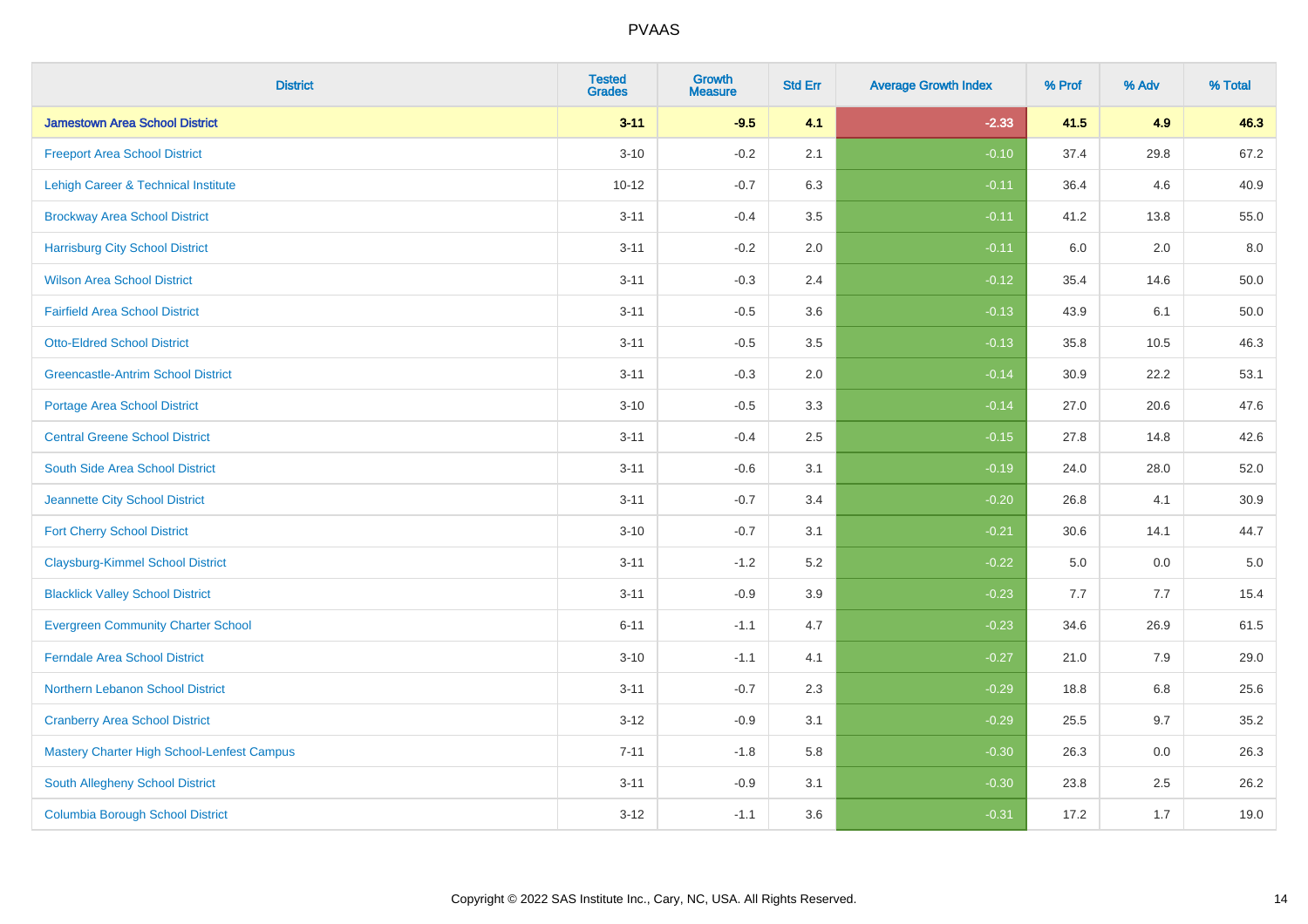| <b>District</b>                                   | <b>Tested</b><br><b>Grades</b> | Growth<br><b>Measure</b> | <b>Std Err</b> | <b>Average Growth Index</b> | % Prof | % Adv   | % Total  |
|---------------------------------------------------|--------------------------------|--------------------------|----------------|-----------------------------|--------|---------|----------|
| <b>Jamestown Area School District</b>             | $3 - 11$                       | $-9.5$                   | 4.1            | $-2.33$                     | 41.5   | 4.9     | 46.3     |
| <b>Freeport Area School District</b>              | $3 - 10$                       | $-0.2$                   | 2.1            | $-0.10$                     | 37.4   | 29.8    | 67.2     |
| Lehigh Career & Technical Institute               | $10 - 12$                      | $-0.7$                   | 6.3            | $-0.11$                     | 36.4   | 4.6     | 40.9     |
| <b>Brockway Area School District</b>              | $3 - 11$                       | $-0.4$                   | 3.5            | $-0.11$                     | 41.2   | 13.8    | 55.0     |
| <b>Harrisburg City School District</b>            | $3 - 11$                       | $-0.2$                   | 2.0            | $-0.11$                     | 6.0    | 2.0     | 8.0      |
| <b>Wilson Area School District</b>                | $3 - 11$                       | $-0.3$                   | 2.4            | $-0.12$                     | 35.4   | 14.6    | 50.0     |
| <b>Fairfield Area School District</b>             | $3 - 11$                       | $-0.5$                   | 3.6            | $-0.13$                     | 43.9   | 6.1     | 50.0     |
| <b>Otto-Eldred School District</b>                | $3 - 11$                       | $-0.5$                   | 3.5            | $-0.13$                     | 35.8   | 10.5    | 46.3     |
| <b>Greencastle-Antrim School District</b>         | $3 - 11$                       | $-0.3$                   | 2.0            | $-0.14$                     | 30.9   | 22.2    | 53.1     |
| <b>Portage Area School District</b>               | $3 - 10$                       | $-0.5$                   | 3.3            | $-0.14$                     | 27.0   | 20.6    | 47.6     |
| <b>Central Greene School District</b>             | $3 - 11$                       | $-0.4$                   | 2.5            | $-0.15$                     | 27.8   | 14.8    | 42.6     |
| South Side Area School District                   | $3 - 11$                       | $-0.6$                   | 3.1            | $-0.19$                     | 24.0   | 28.0    | 52.0     |
| Jeannette City School District                    | $3 - 11$                       | $-0.7$                   | 3.4            | $-0.20$                     | 26.8   | 4.1     | $30.9\,$ |
| <b>Fort Cherry School District</b>                | $3 - 10$                       | $-0.7$                   | 3.1            | $-0.21$                     | 30.6   | 14.1    | 44.7     |
| <b>Claysburg-Kimmel School District</b>           | $3 - 11$                       | $-1.2$                   | 5.2            | $-0.22$                     | 5.0    | 0.0     | $5.0\,$  |
| <b>Blacklick Valley School District</b>           | $3 - 11$                       | $-0.9$                   | 3.9            | $-0.23$                     | 7.7    | 7.7     | 15.4     |
| <b>Evergreen Community Charter School</b>         | $6 - 11$                       | $-1.1$                   | 4.7            | $-0.23$                     | 34.6   | 26.9    | 61.5     |
| <b>Ferndale Area School District</b>              | $3 - 10$                       | $-1.1$                   | 4.1            | $-0.27$                     | 21.0   | 7.9     | 29.0     |
| Northern Lebanon School District                  | $3 - 11$                       | $-0.7$                   | 2.3            | $-0.29$                     | 18.8   | $6.8\,$ | 25.6     |
| <b>Cranberry Area School District</b>             | $3 - 12$                       | $-0.9$                   | 3.1            | $-0.29$                     | 25.5   | 9.7     | 35.2     |
| <b>Mastery Charter High School-Lenfest Campus</b> | $7 - 11$                       | $-1.8$                   | 5.8            | $-0.30$                     | 26.3   | 0.0     | 26.3     |
| South Allegheny School District                   | $3 - 11$                       | $-0.9$                   | 3.1            | $-0.30$                     | 23.8   | 2.5     | 26.2     |
| <b>Columbia Borough School District</b>           | $3 - 12$                       | $-1.1$                   | 3.6            | $-0.31$                     | 17.2   | 1.7     | 19.0     |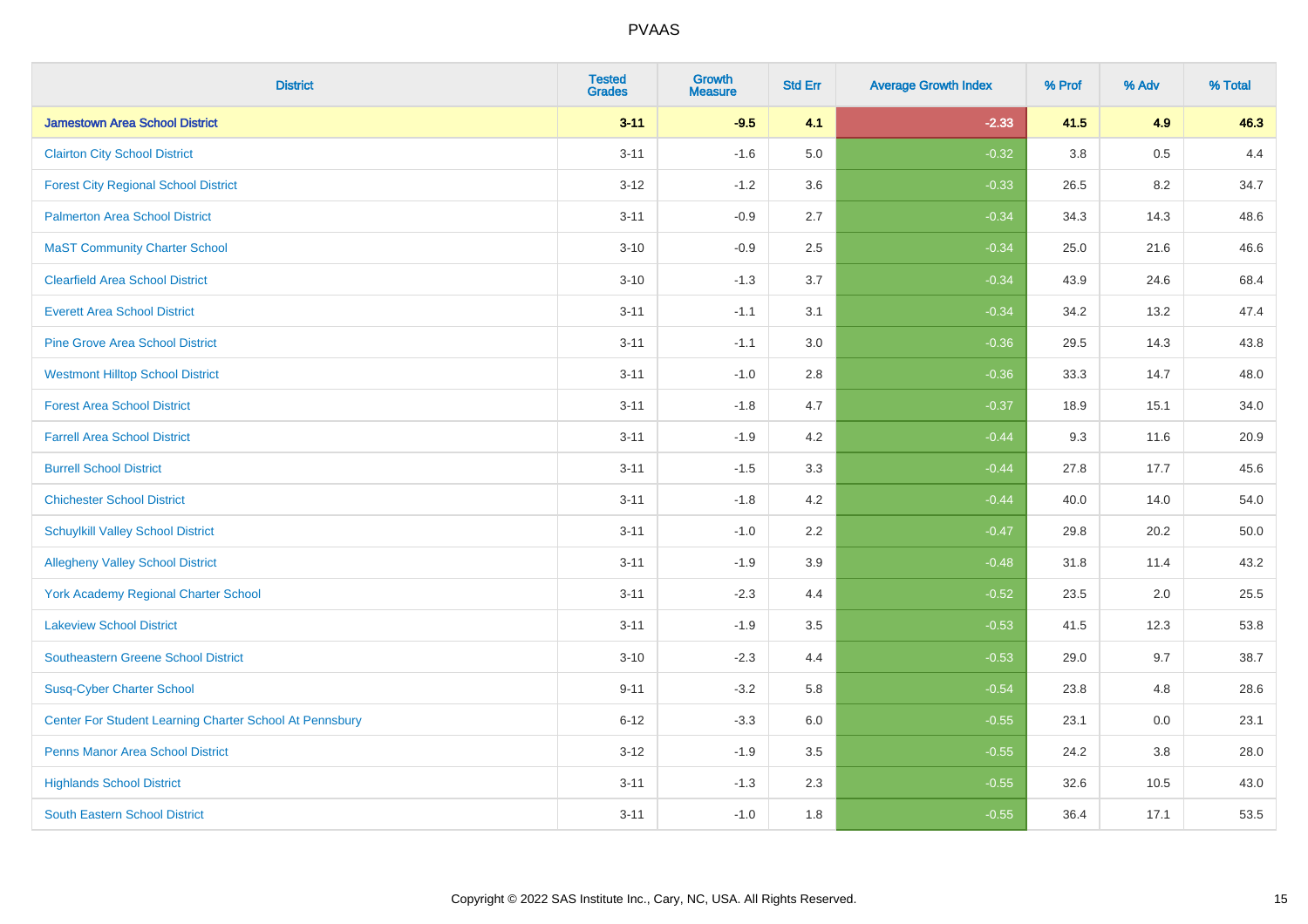| <b>District</b>                                         | <b>Tested</b><br><b>Grades</b> | <b>Growth</b><br><b>Measure</b> | <b>Std Err</b> | <b>Average Growth Index</b> | % Prof | % Adv | % Total |
|---------------------------------------------------------|--------------------------------|---------------------------------|----------------|-----------------------------|--------|-------|---------|
| <b>Jamestown Area School District</b>                   | $3 - 11$                       | $-9.5$                          | 4.1            | $-2.33$                     | 41.5   | 4.9   | 46.3    |
| <b>Clairton City School District</b>                    | $3 - 11$                       | $-1.6$                          | 5.0            | $-0.32$                     | 3.8    | 0.5   | 4.4     |
| <b>Forest City Regional School District</b>             | $3 - 12$                       | $-1.2$                          | 3.6            | $-0.33$                     | 26.5   | 8.2   | 34.7    |
| <b>Palmerton Area School District</b>                   | $3 - 11$                       | $-0.9$                          | 2.7            | $-0.34$                     | 34.3   | 14.3  | 48.6    |
| <b>MaST Community Charter School</b>                    | $3 - 10$                       | $-0.9$                          | 2.5            | $-0.34$                     | 25.0   | 21.6  | 46.6    |
| <b>Clearfield Area School District</b>                  | $3 - 10$                       | $-1.3$                          | 3.7            | $-0.34$                     | 43.9   | 24.6  | 68.4    |
| <b>Everett Area School District</b>                     | $3 - 11$                       | $-1.1$                          | 3.1            | $-0.34$                     | 34.2   | 13.2  | 47.4    |
| <b>Pine Grove Area School District</b>                  | $3 - 11$                       | $-1.1$                          | 3.0            | $-0.36$                     | 29.5   | 14.3  | 43.8    |
| <b>Westmont Hilltop School District</b>                 | $3 - 11$                       | $-1.0$                          | 2.8            | $-0.36$                     | 33.3   | 14.7  | 48.0    |
| <b>Forest Area School District</b>                      | $3 - 11$                       | $-1.8$                          | 4.7            | $-0.37$                     | 18.9   | 15.1  | 34.0    |
| <b>Farrell Area School District</b>                     | $3 - 11$                       | $-1.9$                          | 4.2            | $-0.44$                     | 9.3    | 11.6  | 20.9    |
| <b>Burrell School District</b>                          | $3 - 11$                       | $-1.5$                          | 3.3            | $-0.44$                     | 27.8   | 17.7  | 45.6    |
| <b>Chichester School District</b>                       | $3 - 11$                       | $-1.8$                          | 4.2            | $-0.44$                     | 40.0   | 14.0  | 54.0    |
| <b>Schuylkill Valley School District</b>                | $3 - 11$                       | $-1.0$                          | 2.2            | $-0.47$                     | 29.8   | 20.2  | 50.0    |
| <b>Allegheny Valley School District</b>                 | $3 - 11$                       | $-1.9$                          | 3.9            | $-0.48$                     | 31.8   | 11.4  | 43.2    |
| York Academy Regional Charter School                    | $3 - 11$                       | $-2.3$                          | 4.4            | $-0.52$                     | 23.5   | 2.0   | 25.5    |
| <b>Lakeview School District</b>                         | $3 - 11$                       | $-1.9$                          | 3.5            | $-0.53$                     | 41.5   | 12.3  | 53.8    |
| <b>Southeastern Greene School District</b>              | $3 - 10$                       | $-2.3$                          | 4.4            | $-0.53$                     | 29.0   | 9.7   | 38.7    |
| <b>Susq-Cyber Charter School</b>                        | $9 - 11$                       | $-3.2$                          | 5.8            | $-0.54$                     | 23.8   | 4.8   | 28.6    |
| Center For Student Learning Charter School At Pennsbury | $6 - 12$                       | $-3.3$                          | 6.0            | $-0.55$                     | 23.1   | 0.0   | 23.1    |
| <b>Penns Manor Area School District</b>                 | $3 - 12$                       | $-1.9$                          | 3.5            | $-0.55$                     | 24.2   | 3.8   | 28.0    |
| <b>Highlands School District</b>                        | $3 - 11$                       | $-1.3$                          | 2.3            | $-0.55$                     | 32.6   | 10.5  | 43.0    |
| <b>South Eastern School District</b>                    | $3 - 11$                       | $-1.0$                          | 1.8            | $-0.55$                     | 36.4   | 17.1  | 53.5    |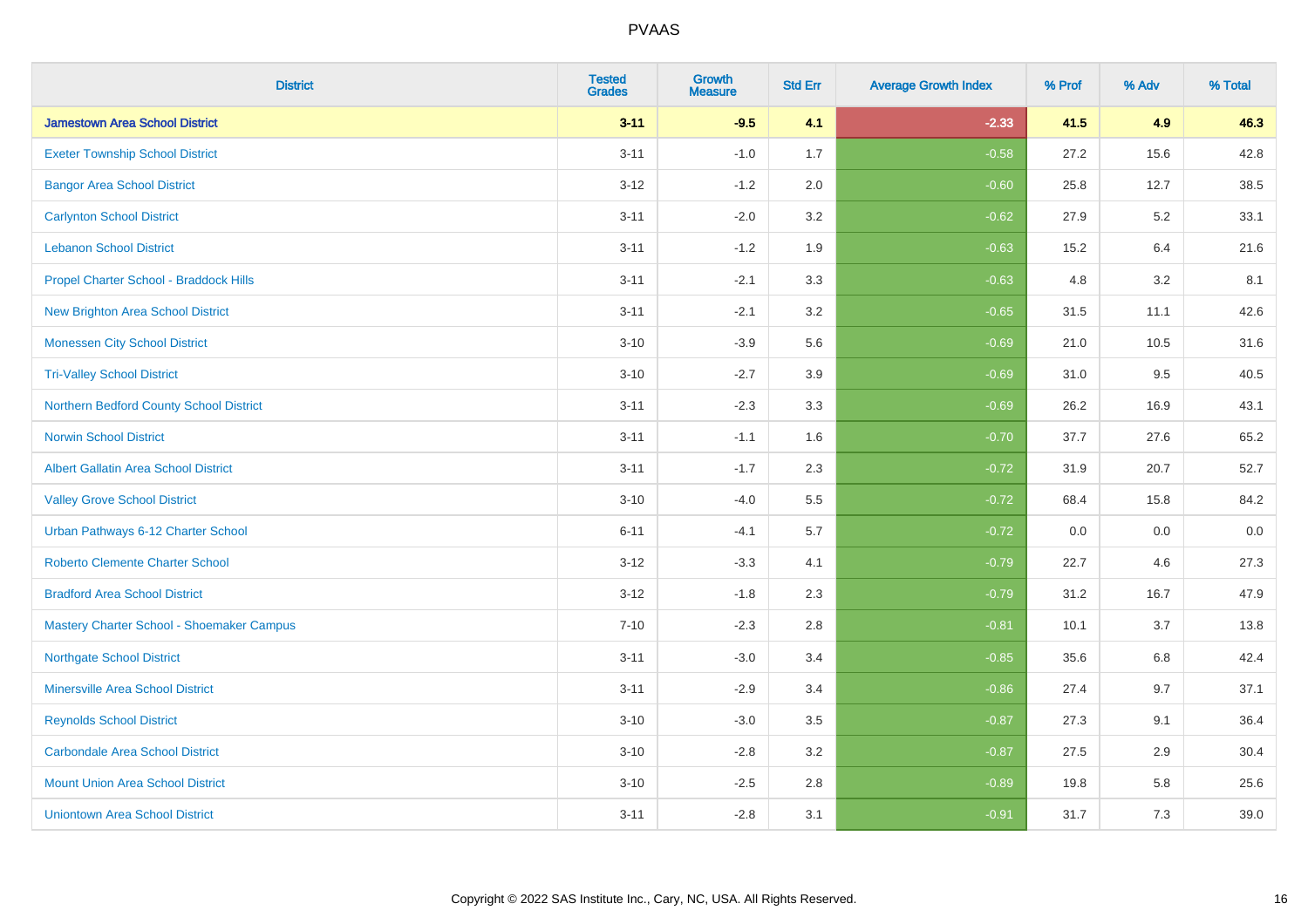| <b>District</b>                             | <b>Tested</b><br><b>Grades</b> | <b>Growth</b><br><b>Measure</b> | <b>Std Err</b> | <b>Average Growth Index</b> | % Prof | % Adv | % Total |
|---------------------------------------------|--------------------------------|---------------------------------|----------------|-----------------------------|--------|-------|---------|
| <b>Jamestown Area School District</b>       | $3 - 11$                       | $-9.5$                          | 4.1            | $-2.33$                     | 41.5   | 4.9   | 46.3    |
| <b>Exeter Township School District</b>      | $3 - 11$                       | $-1.0$                          | 1.7            | $-0.58$                     | 27.2   | 15.6  | 42.8    |
| <b>Bangor Area School District</b>          | $3 - 12$                       | $-1.2$                          | 2.0            | $-0.60$                     | 25.8   | 12.7  | 38.5    |
| <b>Carlynton School District</b>            | $3 - 11$                       | $-2.0$                          | 3.2            | $-0.62$                     | 27.9   | 5.2   | 33.1    |
| <b>Lebanon School District</b>              | $3 - 11$                       | $-1.2$                          | 1.9            | $-0.63$                     | 15.2   | 6.4   | 21.6    |
| Propel Charter School - Braddock Hills      | $3 - 11$                       | $-2.1$                          | 3.3            | $-0.63$                     | 4.8    | 3.2   | 8.1     |
| <b>New Brighton Area School District</b>    | $3 - 11$                       | $-2.1$                          | 3.2            | $-0.65$                     | 31.5   | 11.1  | 42.6    |
| <b>Monessen City School District</b>        | $3 - 10$                       | $-3.9$                          | 5.6            | $-0.69$                     | 21.0   | 10.5  | 31.6    |
| <b>Tri-Valley School District</b>           | $3 - 10$                       | $-2.7$                          | 3.9            | $-0.69$                     | 31.0   | 9.5   | 40.5    |
| Northern Bedford County School District     | $3 - 11$                       | $-2.3$                          | 3.3            | $-0.69$                     | 26.2   | 16.9  | 43.1    |
| <b>Norwin School District</b>               | $3 - 11$                       | $-1.1$                          | 1.6            | $-0.70$                     | 37.7   | 27.6  | 65.2    |
| <b>Albert Gallatin Area School District</b> | $3 - 11$                       | $-1.7$                          | 2.3            | $-0.72$                     | 31.9   | 20.7  | 52.7    |
| <b>Valley Grove School District</b>         | $3 - 10$                       | $-4.0$                          | 5.5            | $-0.72$                     | 68.4   | 15.8  | 84.2    |
| Urban Pathways 6-12 Charter School          | $6 - 11$                       | $-4.1$                          | 5.7            | $-0.72$                     | 0.0    | 0.0   | $0.0\,$ |
| <b>Roberto Clemente Charter School</b>      | $3 - 12$                       | $-3.3$                          | 4.1            | $-0.79$                     | 22.7   | 4.6   | 27.3    |
| <b>Bradford Area School District</b>        | $3 - 12$                       | $-1.8$                          | 2.3            | $-0.79$                     | 31.2   | 16.7  | 47.9    |
| Mastery Charter School - Shoemaker Campus   | $7 - 10$                       | $-2.3$                          | 2.8            | $-0.81$                     | 10.1   | 3.7   | 13.8    |
| <b>Northgate School District</b>            | $3 - 11$                       | $-3.0$                          | 3.4            | $-0.85$                     | 35.6   | 6.8   | 42.4    |
| <b>Minersville Area School District</b>     | $3 - 11$                       | $-2.9$                          | 3.4            | $-0.86$                     | 27.4   | 9.7   | 37.1    |
| <b>Reynolds School District</b>             | $3 - 10$                       | $-3.0$                          | 3.5            | $-0.87$                     | 27.3   | 9.1   | 36.4    |
| <b>Carbondale Area School District</b>      | $3 - 10$                       | $-2.8$                          | 3.2            | $-0.87$                     | 27.5   | 2.9   | 30.4    |
| <b>Mount Union Area School District</b>     | $3 - 10$                       | $-2.5$                          | 2.8            | $-0.89$                     | 19.8   | 5.8   | 25.6    |
| <b>Uniontown Area School District</b>       | $3 - 11$                       | $-2.8$                          | 3.1            | $-0.91$                     | 31.7   | 7.3   | 39.0    |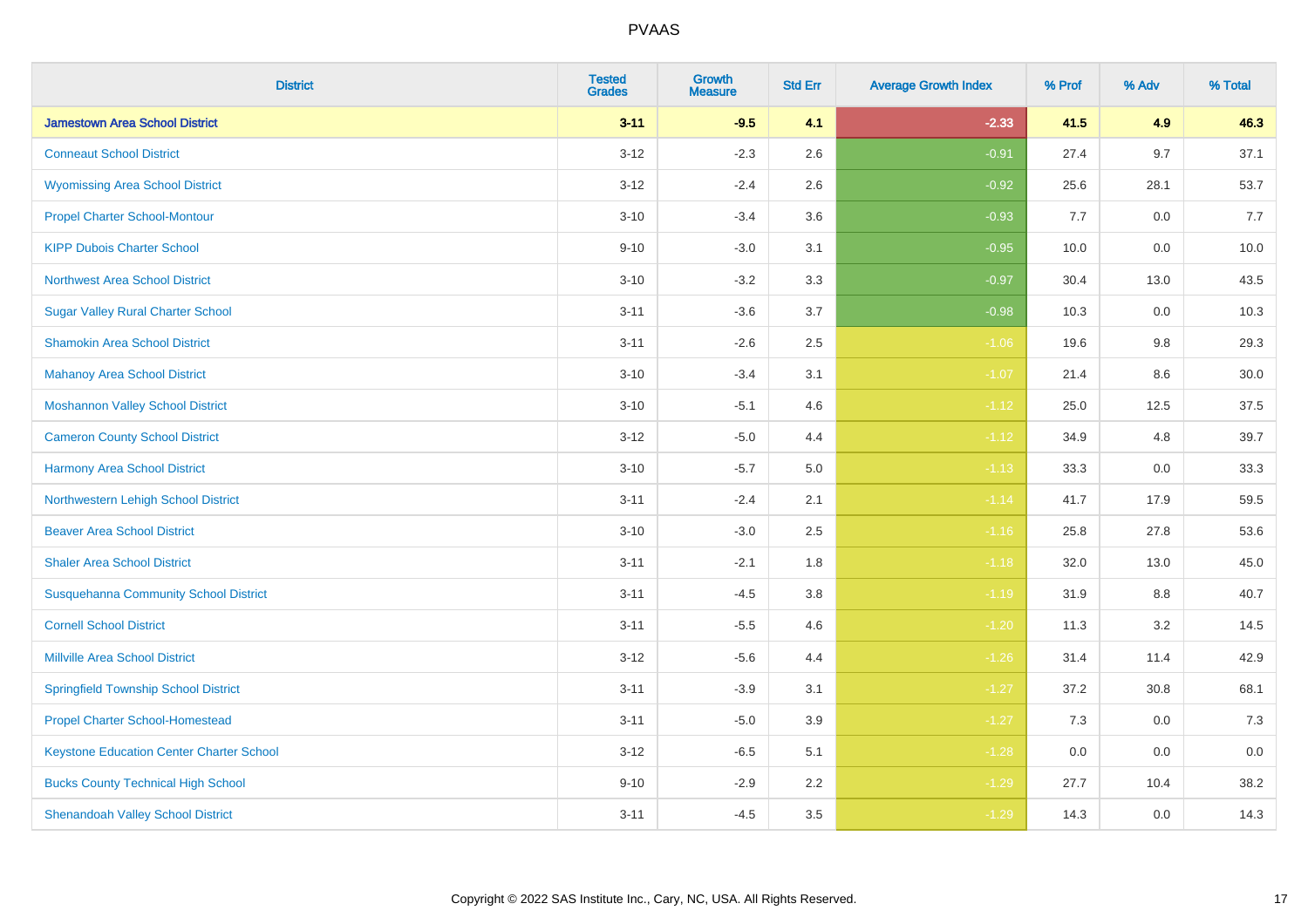| <b>District</b>                                 | <b>Tested</b><br><b>Grades</b> | <b>Growth</b><br><b>Measure</b> | <b>Std Err</b> | <b>Average Growth Index</b> | % Prof | % Adv   | % Total |
|-------------------------------------------------|--------------------------------|---------------------------------|----------------|-----------------------------|--------|---------|---------|
| <b>Jamestown Area School District</b>           | $3 - 11$                       | $-9.5$                          | 4.1            | $-2.33$                     | 41.5   | 4.9     | 46.3    |
| <b>Conneaut School District</b>                 | $3 - 12$                       | $-2.3$                          | 2.6            | $-0.91$                     | 27.4   | 9.7     | 37.1    |
| <b>Wyomissing Area School District</b>          | $3 - 12$                       | $-2.4$                          | 2.6            | $-0.92$                     | 25.6   | 28.1    | 53.7    |
| <b>Propel Charter School-Montour</b>            | $3 - 10$                       | $-3.4$                          | 3.6            | $-0.93$                     | 7.7    | $0.0\,$ | 7.7     |
| <b>KIPP Dubois Charter School</b>               | $9 - 10$                       | $-3.0$                          | 3.1            | $-0.95$                     | 10.0   | 0.0     | 10.0    |
| <b>Northwest Area School District</b>           | $3 - 10$                       | $-3.2$                          | 3.3            | $-0.97$                     | 30.4   | 13.0    | 43.5    |
| <b>Sugar Valley Rural Charter School</b>        | $3 - 11$                       | $-3.6$                          | 3.7            | $-0.98$                     | 10.3   | 0.0     | 10.3    |
| <b>Shamokin Area School District</b>            | $3 - 11$                       | $-2.6$                          | 2.5            | $-1.06$                     | 19.6   | 9.8     | 29.3    |
| <b>Mahanoy Area School District</b>             | $3 - 10$                       | $-3.4$                          | 3.1            | $-1.07$                     | 21.4   | 8.6     | 30.0    |
| <b>Moshannon Valley School District</b>         | $3 - 10$                       | $-5.1$                          | 4.6            | $-1.12$                     | 25.0   | 12.5    | 37.5    |
| <b>Cameron County School District</b>           | $3 - 12$                       | $-5.0$                          | 4.4            | $-1.12$                     | 34.9   | 4.8     | 39.7    |
| <b>Harmony Area School District</b>             | $3 - 10$                       | $-5.7$                          | $5.0\,$        | $-1.13$                     | 33.3   | 0.0     | 33.3    |
| Northwestern Lehigh School District             | $3 - 11$                       | $-2.4$                          | 2.1            | $-1.14$                     | 41.7   | 17.9    | 59.5    |
| <b>Beaver Area School District</b>              | $3 - 10$                       | $-3.0$                          | 2.5            | $-1.16$                     | 25.8   | 27.8    | 53.6    |
| <b>Shaler Area School District</b>              | $3 - 11$                       | $-2.1$                          | 1.8            | $-1.18$                     | 32.0   | 13.0    | 45.0    |
| <b>Susquehanna Community School District</b>    | $3 - 11$                       | $-4.5$                          | 3.8            | $-1.19$                     | 31.9   | $8.8\,$ | 40.7    |
| <b>Cornell School District</b>                  | $3 - 11$                       | $-5.5$                          | 4.6            | $-1.20$                     | 11.3   | $3.2\,$ | 14.5    |
| <b>Millville Area School District</b>           | $3-12$                         | $-5.6$                          | 4.4            | $-1.26$                     | 31.4   | 11.4    | 42.9    |
| <b>Springfield Township School District</b>     | $3 - 11$                       | $-3.9$                          | 3.1            | $-1.27$                     | 37.2   | 30.8    | 68.1    |
| <b>Propel Charter School-Homestead</b>          | $3 - 11$                       | $-5.0$                          | 3.9            | $-1.27$                     | 7.3    | 0.0     | 7.3     |
| <b>Keystone Education Center Charter School</b> | $3 - 12$                       | $-6.5$                          | 5.1            | $-1.28$                     | 0.0    | 0.0     | 0.0     |
| <b>Bucks County Technical High School</b>       | $9 - 10$                       | $-2.9$                          | 2.2            | $-1.29$                     | 27.7   | 10.4    | 38.2    |
| <b>Shenandoah Valley School District</b>        | $3 - 11$                       | $-4.5$                          | 3.5            | $-1.29$                     | 14.3   | 0.0     | 14.3    |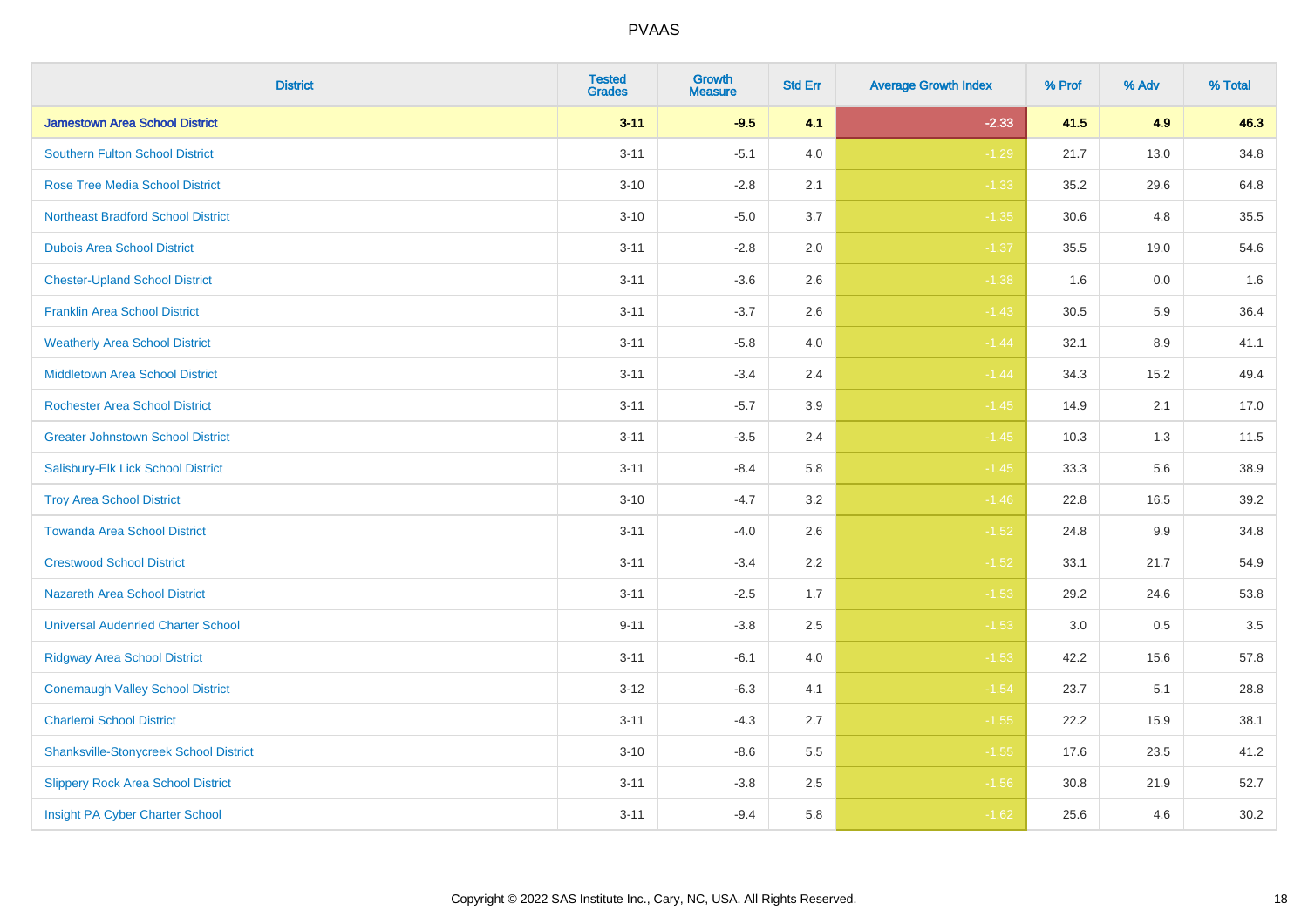| <b>District</b>                               | <b>Tested</b><br><b>Grades</b> | Growth<br><b>Measure</b> | <b>Std Err</b> | <b>Average Growth Index</b> | % Prof | % Adv | % Total |
|-----------------------------------------------|--------------------------------|--------------------------|----------------|-----------------------------|--------|-------|---------|
| <b>Jamestown Area School District</b>         | $3 - 11$                       | $-9.5$                   | 4.1            | $-2.33$                     | 41.5   | 4.9   | 46.3    |
| <b>Southern Fulton School District</b>        | $3 - 11$                       | $-5.1$                   | 4.0            | $-1.29$                     | 21.7   | 13.0  | 34.8    |
| <b>Rose Tree Media School District</b>        | $3 - 10$                       | $-2.8$                   | 2.1            | $-1.33$                     | 35.2   | 29.6  | 64.8    |
| <b>Northeast Bradford School District</b>     | $3 - 10$                       | $-5.0$                   | 3.7            | $-1.35$                     | 30.6   | 4.8   | 35.5    |
| <b>Dubois Area School District</b>            | $3 - 11$                       | $-2.8$                   | 2.0            | $-1.37$                     | 35.5   | 19.0  | 54.6    |
| <b>Chester-Upland School District</b>         | $3 - 11$                       | $-3.6$                   | 2.6            | $-1.38$                     | 1.6    | 0.0   | 1.6     |
| <b>Franklin Area School District</b>          | $3 - 11$                       | $-3.7$                   | 2.6            | $-1.43$                     | 30.5   | 5.9   | 36.4    |
| <b>Weatherly Area School District</b>         | $3 - 11$                       | $-5.8$                   | 4.0            | $-1.44$                     | 32.1   | 8.9   | 41.1    |
| <b>Middletown Area School District</b>        | $3 - 11$                       | $-3.4$                   | 2.4            | $-1.44$                     | 34.3   | 15.2  | 49.4    |
| <b>Rochester Area School District</b>         | $3 - 11$                       | $-5.7$                   | 3.9            | $-1.45$                     | 14.9   | 2.1   | 17.0    |
| <b>Greater Johnstown School District</b>      | $3 - 11$                       | $-3.5$                   | 2.4            | $-1.45$                     | 10.3   | 1.3   | 11.5    |
| Salisbury-Elk Lick School District            | $3 - 11$                       | $-8.4$                   | 5.8            | $-1.45$                     | 33.3   | 5.6   | 38.9    |
| <b>Troy Area School District</b>              | $3 - 10$                       | $-4.7$                   | $3.2\,$        | $-1.46$                     | 22.8   | 16.5  | 39.2    |
| <b>Towanda Area School District</b>           | $3 - 11$                       | $-4.0$                   | 2.6            | $-1.52$                     | 24.8   | 9.9   | 34.8    |
| <b>Crestwood School District</b>              | $3 - 11$                       | $-3.4$                   | 2.2            | $-1.52$                     | 33.1   | 21.7  | 54.9    |
| <b>Nazareth Area School District</b>          | $3 - 11$                       | $-2.5$                   | 1.7            | $-1.53$                     | 29.2   | 24.6  | 53.8    |
| <b>Universal Audenried Charter School</b>     | $9 - 11$                       | $-3.8$                   | 2.5            | $-1.53$                     | 3.0    | 0.5   | 3.5     |
| <b>Ridgway Area School District</b>           | $3 - 11$                       | $-6.1$                   | 4.0            | $-1.53$                     | 42.2   | 15.6  | 57.8    |
| <b>Conemaugh Valley School District</b>       | $3 - 12$                       | $-6.3$                   | 4.1            | $-1.54$                     | 23.7   | 5.1   | 28.8    |
| <b>Charleroi School District</b>              | $3 - 11$                       | $-4.3$                   | 2.7            | $-1.55$                     | 22.2   | 15.9  | 38.1    |
| <b>Shanksville-Stonycreek School District</b> | $3 - 10$                       | $-8.6$                   | 5.5            | $-1.55$                     | 17.6   | 23.5  | 41.2    |
| <b>Slippery Rock Area School District</b>     | $3 - 11$                       | $-3.8$                   | 2.5            | $-1.56$                     | 30.8   | 21.9  | 52.7    |
| Insight PA Cyber Charter School               | $3 - 11$                       | $-9.4$                   | 5.8            | $-1.62$                     | 25.6   | 4.6   | 30.2    |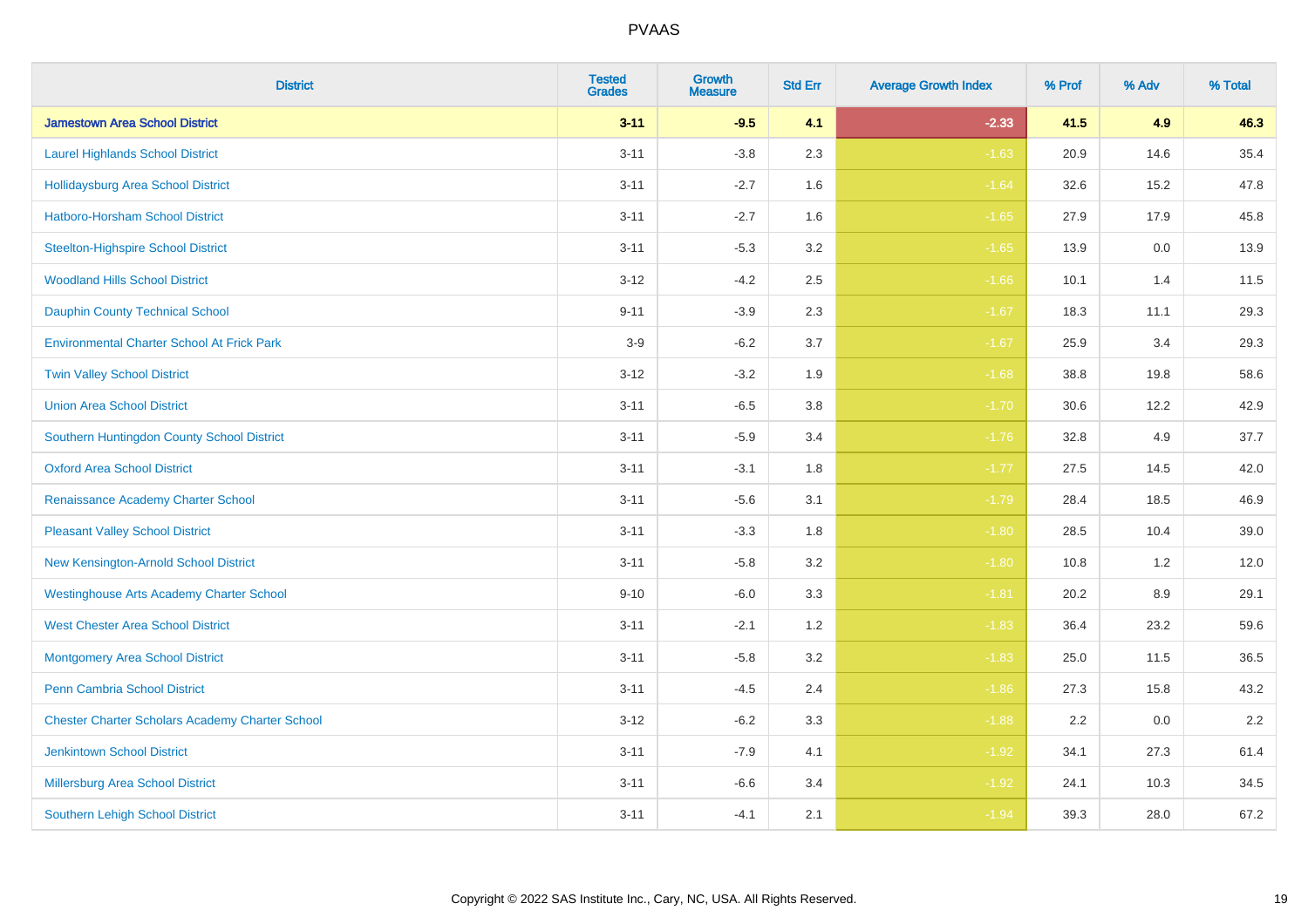| <b>District</b>                                        | <b>Tested</b><br><b>Grades</b> | <b>Growth</b><br><b>Measure</b> | <b>Std Err</b> | <b>Average Growth Index</b> | % Prof | % Adv | % Total |
|--------------------------------------------------------|--------------------------------|---------------------------------|----------------|-----------------------------|--------|-------|---------|
| <b>Jamestown Area School District</b>                  | $3 - 11$                       | $-9.5$                          | 4.1            | $-2.33$                     | 41.5   | 4.9   | 46.3    |
| <b>Laurel Highlands School District</b>                | $3 - 11$                       | $-3.8$                          | 2.3            | $-1.63$                     | 20.9   | 14.6  | 35.4    |
| <b>Hollidaysburg Area School District</b>              | $3 - 11$                       | $-2.7$                          | 1.6            | $-1.64$                     | 32.6   | 15.2  | 47.8    |
| <b>Hatboro-Horsham School District</b>                 | $3 - 11$                       | $-2.7$                          | 1.6            | $-1.65$                     | 27.9   | 17.9  | 45.8    |
| <b>Steelton-Highspire School District</b>              | $3 - 11$                       | $-5.3$                          | 3.2            | $-1.65$                     | 13.9   | 0.0   | 13.9    |
| <b>Woodland Hills School District</b>                  | $3 - 12$                       | $-4.2$                          | 2.5            | $-1.66$                     | 10.1   | 1.4   | 11.5    |
| <b>Dauphin County Technical School</b>                 | $9 - 11$                       | $-3.9$                          | 2.3            | $-1.67$                     | 18.3   | 11.1  | 29.3    |
| <b>Environmental Charter School At Frick Park</b>      | $3-9$                          | $-6.2$                          | 3.7            | $-1.67$                     | 25.9   | 3.4   | 29.3    |
| <b>Twin Valley School District</b>                     | $3 - 12$                       | $-3.2$                          | 1.9            | $-1.68$                     | 38.8   | 19.8  | 58.6    |
| <b>Union Area School District</b>                      | $3 - 11$                       | $-6.5$                          | 3.8            | $-1.70$                     | 30.6   | 12.2  | 42.9    |
| Southern Huntingdon County School District             | $3 - 11$                       | $-5.9$                          | 3.4            | $-1.76$                     | 32.8   | 4.9   | 37.7    |
| <b>Oxford Area School District</b>                     | $3 - 11$                       | $-3.1$                          | 1.8            | $-1.77$                     | 27.5   | 14.5  | 42.0    |
| Renaissance Academy Charter School                     | $3 - 11$                       | $-5.6$                          | 3.1            | $-1.79$                     | 28.4   | 18.5  | 46.9    |
| <b>Pleasant Valley School District</b>                 | $3 - 11$                       | $-3.3$                          | 1.8            | $-1.80$                     | 28.5   | 10.4  | 39.0    |
| New Kensington-Arnold School District                  | $3 - 11$                       | $-5.8$                          | 3.2            | $-1.80$                     | 10.8   | 1.2   | 12.0    |
| <b>Westinghouse Arts Academy Charter School</b>        | $9 - 10$                       | $-6.0$                          | 3.3            | $-1.81$                     | 20.2   | 8.9   | 29.1    |
| <b>West Chester Area School District</b>               | $3 - 11$                       | $-2.1$                          | 1.2            | $-1.83$                     | 36.4   | 23.2  | 59.6    |
| <b>Montgomery Area School District</b>                 | $3 - 11$                       | $-5.8$                          | 3.2            | $-1.83$                     | 25.0   | 11.5  | 36.5    |
| <b>Penn Cambria School District</b>                    | $3 - 11$                       | $-4.5$                          | 2.4            | $-1.86$                     | 27.3   | 15.8  | 43.2    |
| <b>Chester Charter Scholars Academy Charter School</b> | $3 - 12$                       | $-6.2$                          | 3.3            | $-1.88$                     | 2.2    | 0.0   | 2.2     |
| <b>Jenkintown School District</b>                      | $3 - 11$                       | $-7.9$                          | 4.1            | $-1.92$                     | 34.1   | 27.3  | 61.4    |
| Millersburg Area School District                       | $3 - 11$                       | $-6.6$                          | 3.4            | $-1.92$                     | 24.1   | 10.3  | 34.5    |
| Southern Lehigh School District                        | $3 - 11$                       | $-4.1$                          | 2.1            | $-1.94$                     | 39.3   | 28.0  | 67.2    |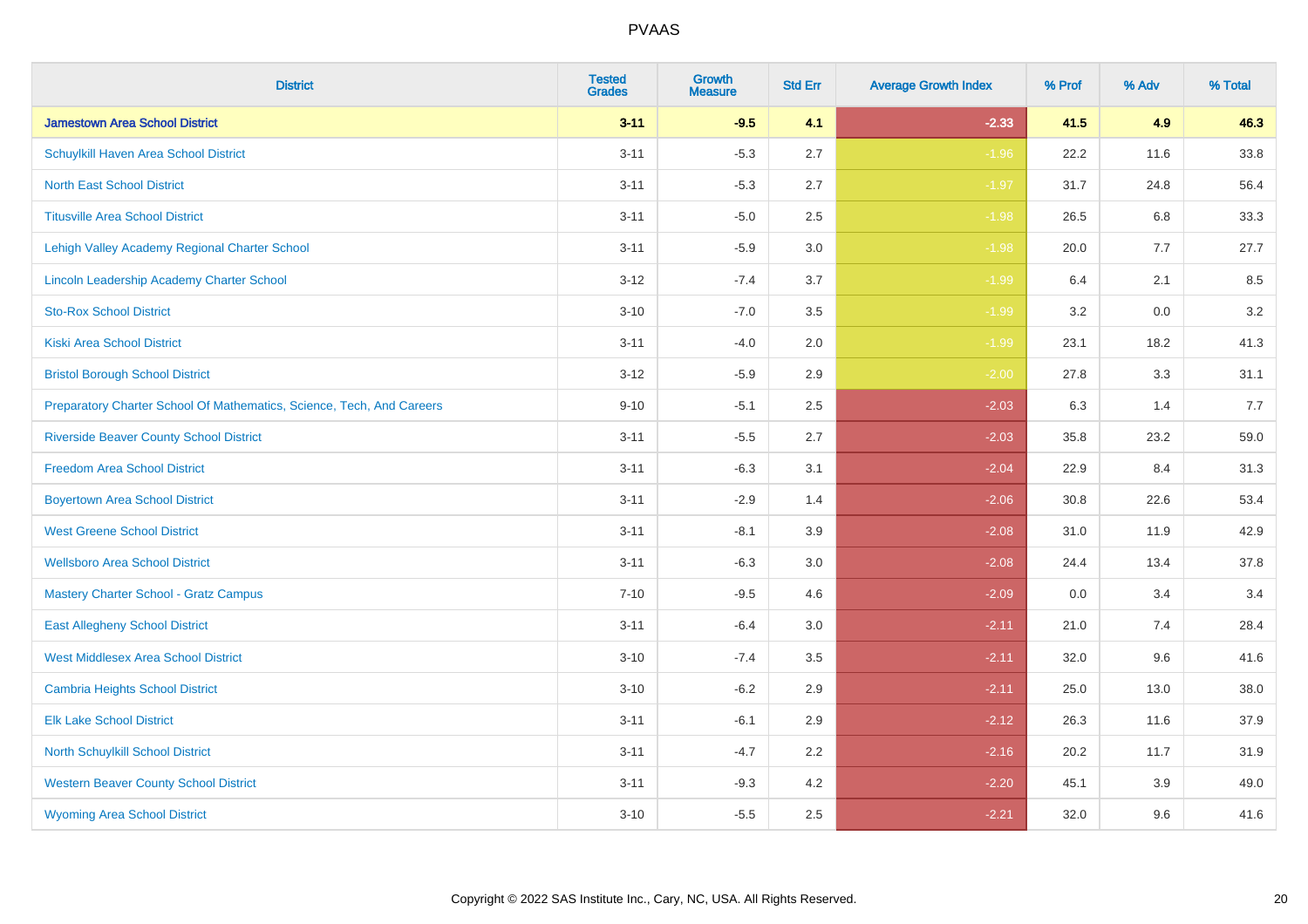| <b>District</b>                                                       | <b>Tested</b><br><b>Grades</b> | <b>Growth</b><br><b>Measure</b> | <b>Std Err</b> | <b>Average Growth Index</b> | % Prof | % Adv   | % Total |
|-----------------------------------------------------------------------|--------------------------------|---------------------------------|----------------|-----------------------------|--------|---------|---------|
| <b>Jamestown Area School District</b>                                 | $3 - 11$                       | $-9.5$                          | 4.1            | $-2.33$                     | 41.5   | 4.9     | 46.3    |
| Schuylkill Haven Area School District                                 | $3 - 11$                       | $-5.3$                          | 2.7            | $-1.96$                     | 22.2   | 11.6    | 33.8    |
| <b>North East School District</b>                                     | $3 - 11$                       | $-5.3$                          | 2.7            | $-1.97$                     | 31.7   | 24.8    | 56.4    |
| <b>Titusville Area School District</b>                                | $3 - 11$                       | $-5.0$                          | 2.5            | $-1.98$                     | 26.5   | 6.8     | 33.3    |
| Lehigh Valley Academy Regional Charter School                         | $3 - 11$                       | $-5.9$                          | 3.0            | $-1.98$                     | 20.0   | 7.7     | 27.7    |
| Lincoln Leadership Academy Charter School                             | $3 - 12$                       | $-7.4$                          | 3.7            | $-1.99$                     | 6.4    | 2.1     | 8.5     |
| <b>Sto-Rox School District</b>                                        | $3 - 10$                       | $-7.0$                          | 3.5            | $-1.99$                     | 3.2    | $0.0\,$ | 3.2     |
| <b>Kiski Area School District</b>                                     | $3 - 11$                       | $-4.0$                          | 2.0            | $-1.99$                     | 23.1   | 18.2    | 41.3    |
| <b>Bristol Borough School District</b>                                | $3 - 12$                       | $-5.9$                          | 2.9            | $-2.00$                     | 27.8   | 3.3     | 31.1    |
| Preparatory Charter School Of Mathematics, Science, Tech, And Careers | $9 - 10$                       | $-5.1$                          | $2.5\,$        | $-2.03$                     | 6.3    | 1.4     | 7.7     |
| <b>Riverside Beaver County School District</b>                        | $3 - 11$                       | $-5.5$                          | 2.7            | $-2.03$                     | 35.8   | 23.2    | 59.0    |
| <b>Freedom Area School District</b>                                   | $3 - 11$                       | $-6.3$                          | 3.1            | $-2.04$                     | 22.9   | 8.4     | 31.3    |
| <b>Boyertown Area School District</b>                                 | $3 - 11$                       | $-2.9$                          | 1.4            | $-2.06$                     | 30.8   | 22.6    | 53.4    |
| <b>West Greene School District</b>                                    | $3 - 11$                       | $-8.1$                          | 3.9            | $-2.08$                     | 31.0   | 11.9    | 42.9    |
| <b>Wellsboro Area School District</b>                                 | $3 - 11$                       | $-6.3$                          | 3.0            | $-2.08$                     | 24.4   | 13.4    | 37.8    |
| <b>Mastery Charter School - Gratz Campus</b>                          | $7 - 10$                       | $-9.5$                          | 4.6            | $-2.09$                     | 0.0    | 3.4     | 3.4     |
| <b>East Allegheny School District</b>                                 | $3 - 11$                       | $-6.4$                          | 3.0            | $-2.11$                     | 21.0   | 7.4     | 28.4    |
| <b>West Middlesex Area School District</b>                            | $3 - 10$                       | $-7.4$                          | 3.5            | $-2.11$                     | 32.0   | 9.6     | 41.6    |
| <b>Cambria Heights School District</b>                                | $3 - 10$                       | $-6.2$                          | 2.9            | $-2.11$                     | 25.0   | 13.0    | 38.0    |
| <b>Elk Lake School District</b>                                       | $3 - 11$                       | $-6.1$                          | 2.9            | $-2.12$                     | 26.3   | 11.6    | 37.9    |
| North Schuylkill School District                                      | $3 - 11$                       | $-4.7$                          | 2.2            | $-2.16$                     | 20.2   | 11.7    | 31.9    |
| <b>Western Beaver County School District</b>                          | $3 - 11$                       | $-9.3$                          | 4.2            | $-2.20$                     | 45.1   | 3.9     | 49.0    |
| <b>Wyoming Area School District</b>                                   | $3 - 10$                       | $-5.5$                          | 2.5            | $-2.21$                     | 32.0   | 9.6     | 41.6    |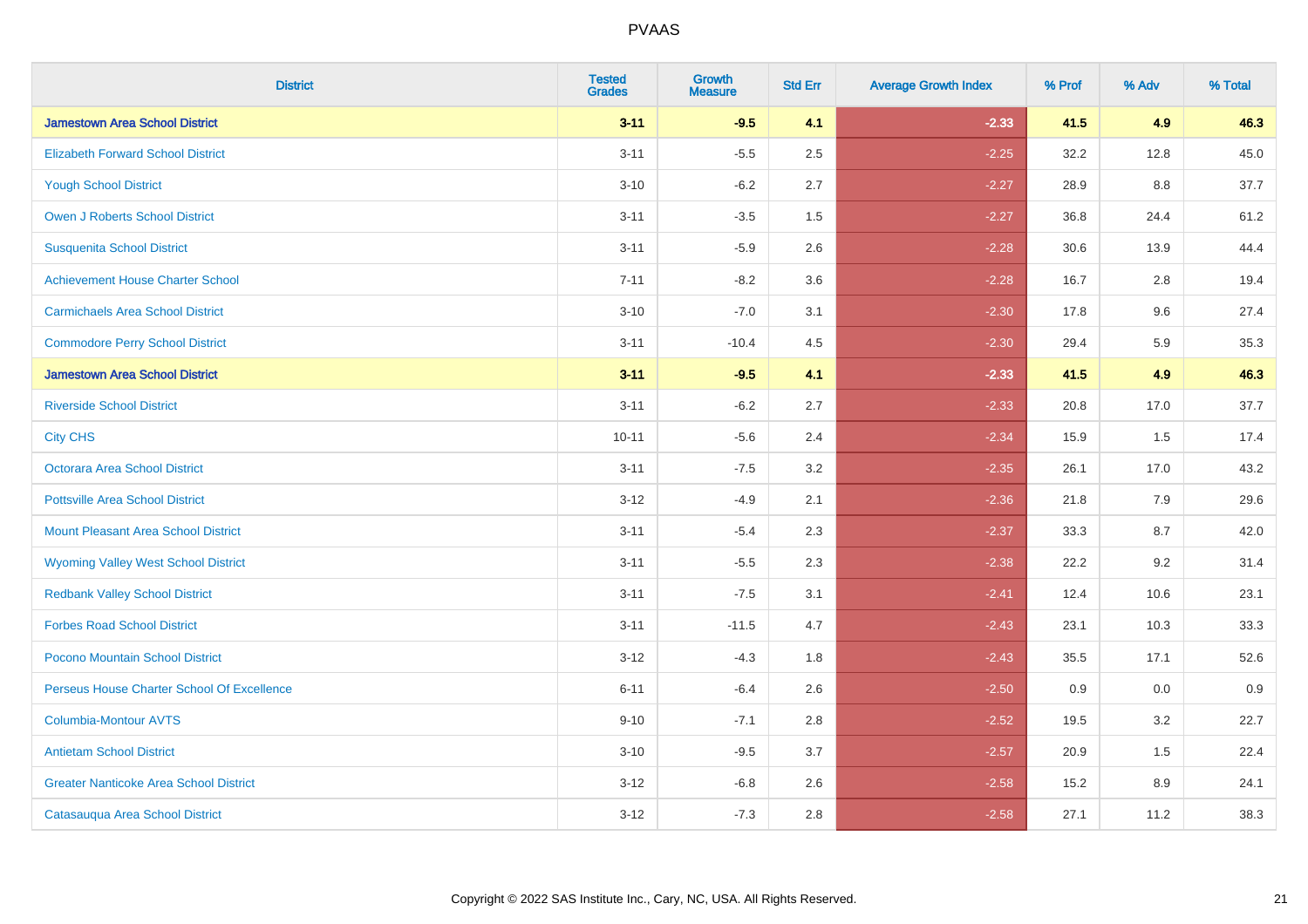| <b>District</b>                               | <b>Tested</b><br><b>Grades</b> | <b>Growth</b><br><b>Measure</b> | <b>Std Err</b> | <b>Average Growth Index</b> | % Prof | % Adv | % Total |
|-----------------------------------------------|--------------------------------|---------------------------------|----------------|-----------------------------|--------|-------|---------|
| <b>Jamestown Area School District</b>         | $3 - 11$                       | $-9.5$                          | 4.1            | $-2.33$                     | 41.5   | 4.9   | 46.3    |
| <b>Elizabeth Forward School District</b>      | $3 - 11$                       | $-5.5$                          | 2.5            | $-2.25$                     | 32.2   | 12.8  | 45.0    |
| <b>Yough School District</b>                  | $3 - 10$                       | $-6.2$                          | 2.7            | $-2.27$                     | 28.9   | 8.8   | 37.7    |
| <b>Owen J Roberts School District</b>         | $3 - 11$                       | $-3.5$                          | 1.5            | $-2.27$                     | 36.8   | 24.4  | 61.2    |
| <b>Susquenita School District</b>             | $3 - 11$                       | $-5.9$                          | 2.6            | $-2.28$                     | 30.6   | 13.9  | 44.4    |
| <b>Achievement House Charter School</b>       | $7 - 11$                       | $-8.2$                          | 3.6            | $-2.28$                     | 16.7   | 2.8   | 19.4    |
| <b>Carmichaels Area School District</b>       | $3 - 10$                       | $-7.0$                          | 3.1            | $-2.30$                     | 17.8   | 9.6   | 27.4    |
| <b>Commodore Perry School District</b>        | $3 - 11$                       | $-10.4$                         | 4.5            | $-2.30$                     | 29.4   | 5.9   | 35.3    |
| <b>Jamestown Area School District</b>         | $3 - 11$                       | $-9.5$                          | 4.1            | $-2.33$                     | 41.5   | 4.9   | 46.3    |
| <b>Riverside School District</b>              | $3 - 11$                       | $-6.2$                          | 2.7            | $-2.33$                     | 20.8   | 17.0  | 37.7    |
| <b>City CHS</b>                               | $10 - 11$                      | $-5.6$                          | 2.4            | $-2.34$                     | 15.9   | 1.5   | 17.4    |
| <b>Octorara Area School District</b>          | $3 - 11$                       | $-7.5$                          | 3.2            | $-2.35$                     | 26.1   | 17.0  | 43.2    |
| <b>Pottsville Area School District</b>        | $3 - 12$                       | $-4.9$                          | 2.1            | $-2.36$                     | 21.8   | 7.9   | 29.6    |
| <b>Mount Pleasant Area School District</b>    | $3 - 11$                       | $-5.4$                          | 2.3            | $-2.37$                     | 33.3   | 8.7   | 42.0    |
| <b>Wyoming Valley West School District</b>    | $3 - 11$                       | $-5.5$                          | 2.3            | $-2.38$                     | 22.2   | 9.2   | 31.4    |
| <b>Redbank Valley School District</b>         | $3 - 11$                       | $-7.5$                          | 3.1            | $-2.41$                     | 12.4   | 10.6  | 23.1    |
| <b>Forbes Road School District</b>            | $3 - 11$                       | $-11.5$                         | 4.7            | $-2.43$                     | 23.1   | 10.3  | 33.3    |
| Pocono Mountain School District               | $3 - 12$                       | $-4.3$                          | 1.8            | $-2.43$                     | 35.5   | 17.1  | 52.6    |
| Perseus House Charter School Of Excellence    | $6 - 11$                       | $-6.4$                          | 2.6            | $-2.50$                     | 0.9    | 0.0   | 0.9     |
| <b>Columbia-Montour AVTS</b>                  | $9 - 10$                       | $-7.1$                          | 2.8            | $-2.52$                     | 19.5   | 3.2   | 22.7    |
| <b>Antietam School District</b>               | $3 - 10$                       | $-9.5$                          | 3.7            | $-2.57$                     | 20.9   | 1.5   | 22.4    |
| <b>Greater Nanticoke Area School District</b> | $3 - 12$                       | $-6.8$                          | 2.6            | $-2.58$                     | 15.2   | 8.9   | 24.1    |
| Catasauqua Area School District               | $3 - 12$                       | $-7.3$                          | 2.8            | $-2.58$                     | 27.1   | 11.2  | 38.3    |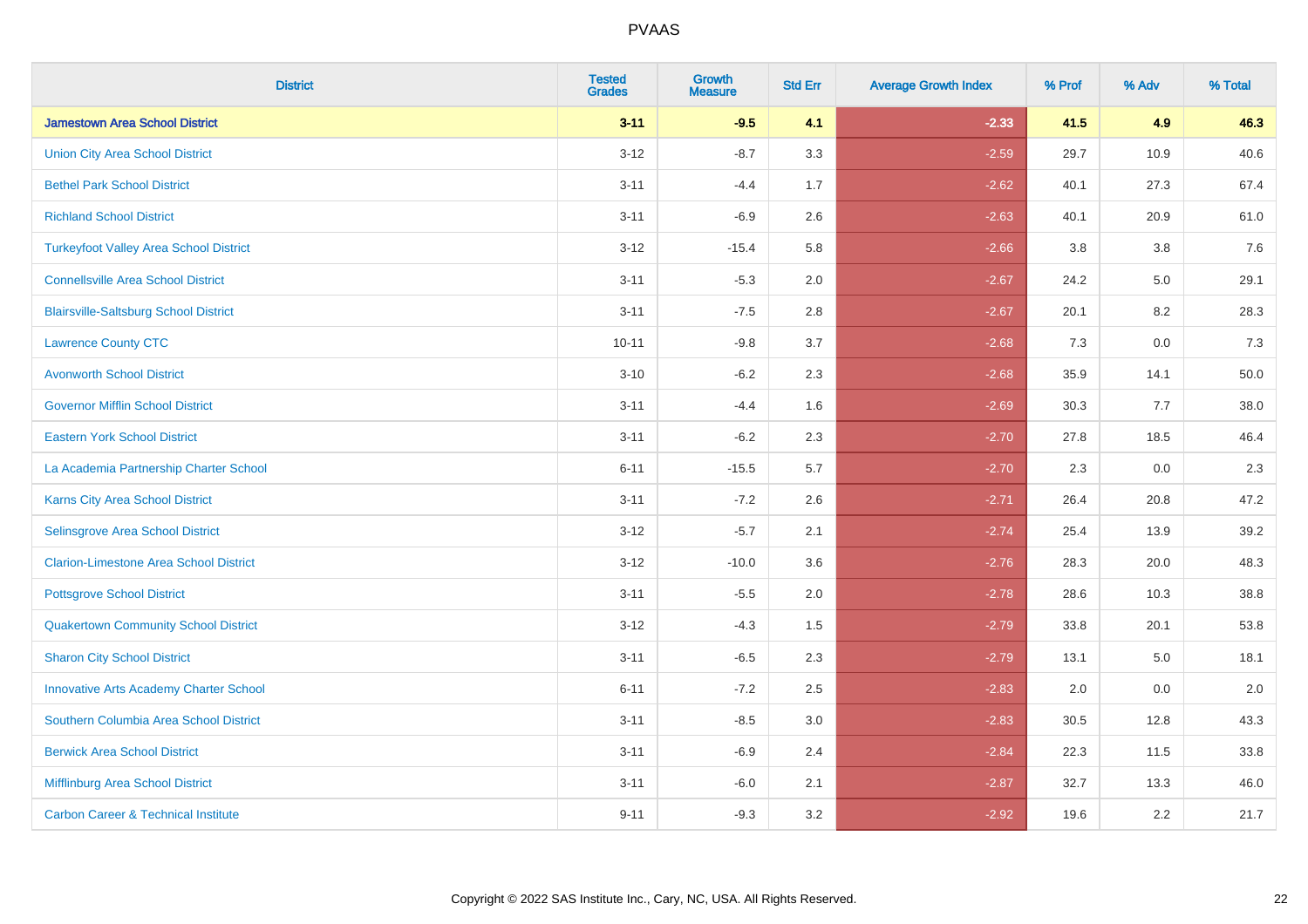| <b>District</b>                                | <b>Tested</b><br><b>Grades</b> | <b>Growth</b><br><b>Measure</b> | <b>Std Err</b> | <b>Average Growth Index</b> | % Prof | % Adv   | % Total |
|------------------------------------------------|--------------------------------|---------------------------------|----------------|-----------------------------|--------|---------|---------|
| <b>Jamestown Area School District</b>          | $3 - 11$                       | $-9.5$                          | 4.1            | $-2.33$                     | 41.5   | 4.9     | 46.3    |
| <b>Union City Area School District</b>         | $3 - 12$                       | $-8.7$                          | 3.3            | $-2.59$                     | 29.7   | 10.9    | 40.6    |
| <b>Bethel Park School District</b>             | $3 - 11$                       | $-4.4$                          | 1.7            | $-2.62$                     | 40.1   | 27.3    | 67.4    |
| <b>Richland School District</b>                | $3 - 11$                       | $-6.9$                          | 2.6            | $-2.63$                     | 40.1   | 20.9    | 61.0    |
| <b>Turkeyfoot Valley Area School District</b>  | $3 - 12$                       | $-15.4$                         | 5.8            | $-2.66$                     | 3.8    | 3.8     | 7.6     |
| <b>Connellsville Area School District</b>      | $3 - 11$                       | $-5.3$                          | 2.0            | $-2.67$                     | 24.2   | $5.0\,$ | 29.1    |
| <b>Blairsville-Saltsburg School District</b>   | $3 - 11$                       | $-7.5$                          | 2.8            | $-2.67$                     | 20.1   | 8.2     | 28.3    |
| <b>Lawrence County CTC</b>                     | $10 - 11$                      | $-9.8$                          | 3.7            | $-2.68$                     | 7.3    | 0.0     | 7.3     |
| <b>Avonworth School District</b>               | $3 - 10$                       | $-6.2$                          | 2.3            | $-2.68$                     | 35.9   | 14.1    | 50.0    |
| <b>Governor Mifflin School District</b>        | $3 - 11$                       | $-4.4$                          | 1.6            | $-2.69$                     | 30.3   | 7.7     | 38.0    |
| <b>Eastern York School District</b>            | $3 - 11$                       | $-6.2$                          | 2.3            | $-2.70$                     | 27.8   | 18.5    | 46.4    |
| La Academia Partnership Charter School         | $6 - 11$                       | $-15.5$                         | 5.7            | $-2.70$                     | 2.3    | 0.0     | 2.3     |
| <b>Karns City Area School District</b>         | $3 - 11$                       | $-7.2$                          | 2.6            | $-2.71$                     | 26.4   | 20.8    | 47.2    |
| Selinsgrove Area School District               | $3 - 12$                       | $-5.7$                          | 2.1            | $-2.74$                     | 25.4   | 13.9    | 39.2    |
| <b>Clarion-Limestone Area School District</b>  | $3 - 12$                       | $-10.0$                         | 3.6            | $-2.76$                     | 28.3   | 20.0    | 48.3    |
| <b>Pottsgrove School District</b>              | $3 - 11$                       | $-5.5$                          | 2.0            | $-2.78$                     | 28.6   | 10.3    | 38.8    |
| <b>Quakertown Community School District</b>    | $3 - 12$                       | $-4.3$                          | 1.5            | $-2.79$                     | 33.8   | 20.1    | 53.8    |
| <b>Sharon City School District</b>             | $3 - 11$                       | $-6.5$                          | 2.3            | $-2.79$                     | 13.1   | 5.0     | 18.1    |
| <b>Innovative Arts Academy Charter School</b>  | $6 - 11$                       | $-7.2$                          | 2.5            | $-2.83$                     | 2.0    | 0.0     | 2.0     |
| Southern Columbia Area School District         | $3 - 11$                       | $-8.5$                          | 3.0            | $-2.83$                     | 30.5   | 12.8    | 43.3    |
| <b>Berwick Area School District</b>            | $3 - 11$                       | $-6.9$                          | 2.4            | $-2.84$                     | 22.3   | 11.5    | 33.8    |
| Mifflinburg Area School District               | $3 - 11$                       | $-6.0$                          | 2.1            | $-2.87$                     | 32.7   | 13.3    | 46.0    |
| <b>Carbon Career &amp; Technical Institute</b> | $9 - 11$                       | $-9.3$                          | 3.2            | $-2.92$                     | 19.6   | 2.2     | 21.7    |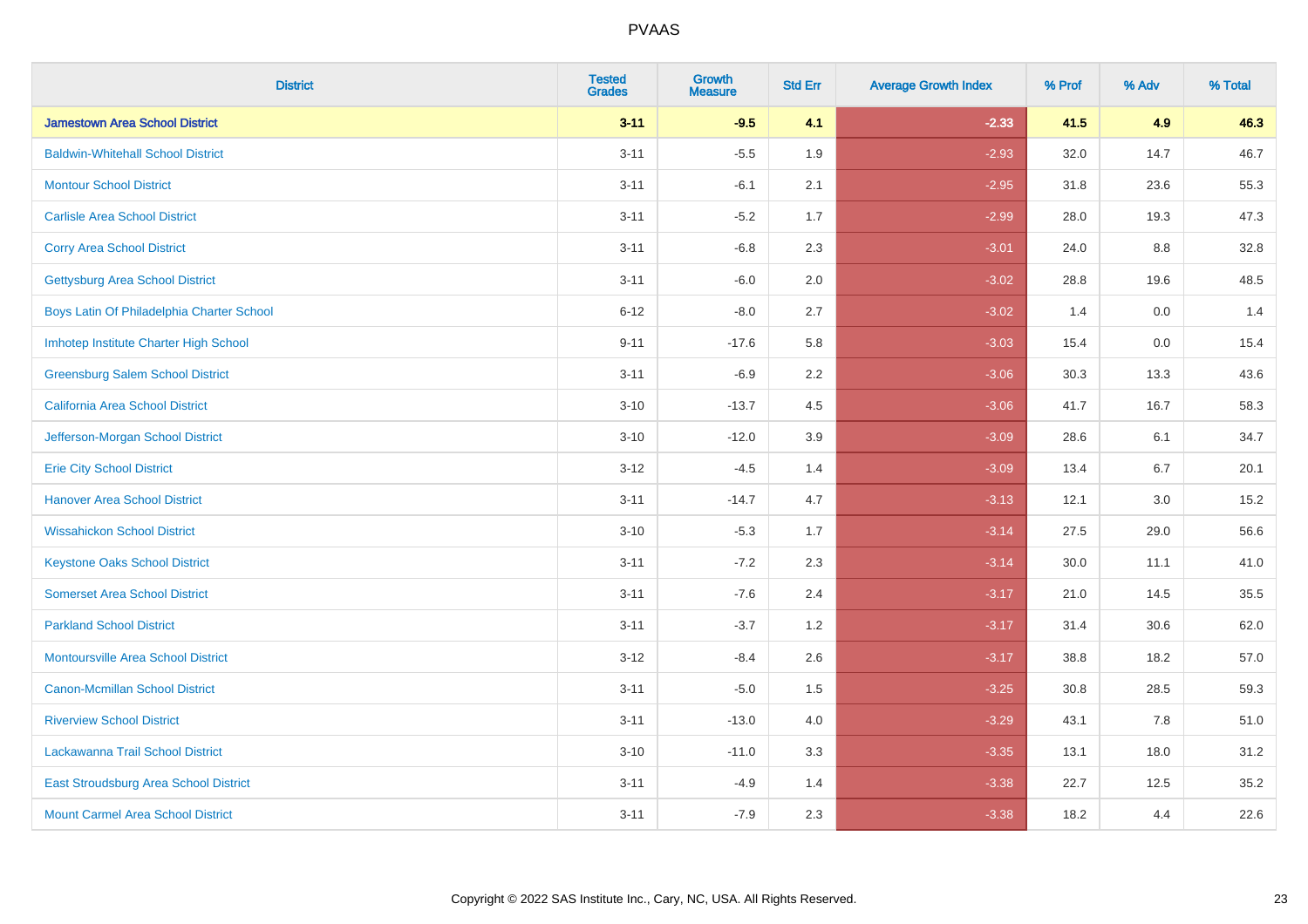| <b>District</b>                           | <b>Tested</b><br><b>Grades</b> | <b>Growth</b><br><b>Measure</b> | <b>Std Err</b> | <b>Average Growth Index</b> | % Prof | % Adv | % Total |
|-------------------------------------------|--------------------------------|---------------------------------|----------------|-----------------------------|--------|-------|---------|
| <b>Jamestown Area School District</b>     | $3 - 11$                       | $-9.5$                          | 4.1            | $-2.33$                     | 41.5   | 4.9   | 46.3    |
| <b>Baldwin-Whitehall School District</b>  | $3 - 11$                       | $-5.5$                          | 1.9            | $-2.93$                     | 32.0   | 14.7  | 46.7    |
| <b>Montour School District</b>            | $3 - 11$                       | $-6.1$                          | 2.1            | $-2.95$                     | 31.8   | 23.6  | 55.3    |
| <b>Carlisle Area School District</b>      | $3 - 11$                       | $-5.2$                          | 1.7            | $-2.99$                     | 28.0   | 19.3  | 47.3    |
| <b>Corry Area School District</b>         | $3 - 11$                       | $-6.8$                          | 2.3            | $-3.01$                     | 24.0   | 8.8   | 32.8    |
| <b>Gettysburg Area School District</b>    | $3 - 11$                       | $-6.0$                          | 2.0            | $-3.02$                     | 28.8   | 19.6  | 48.5    |
| Boys Latin Of Philadelphia Charter School | $6 - 12$                       | $-8.0$                          | 2.7            | $-3.02$                     | 1.4    | 0.0   | 1.4     |
| Imhotep Institute Charter High School     | $9 - 11$                       | $-17.6$                         | 5.8            | $-3.03$                     | 15.4   | 0.0   | 15.4    |
| <b>Greensburg Salem School District</b>   | $3 - 11$                       | $-6.9$                          | 2.2            | $-3.06$                     | 30.3   | 13.3  | 43.6    |
| <b>California Area School District</b>    | $3 - 10$                       | $-13.7$                         | 4.5            | $-3.06$                     | 41.7   | 16.7  | 58.3    |
| Jefferson-Morgan School District          | $3 - 10$                       | $-12.0$                         | 3.9            | $-3.09$                     | 28.6   | 6.1   | 34.7    |
| <b>Erie City School District</b>          | $3 - 12$                       | $-4.5$                          | 1.4            | $-3.09$                     | 13.4   | 6.7   | 20.1    |
| <b>Hanover Area School District</b>       | $3 - 11$                       | $-14.7$                         | 4.7            | $-3.13$                     | 12.1   | 3.0   | 15.2    |
| <b>Wissahickon School District</b>        | $3 - 10$                       | $-5.3$                          | 1.7            | $-3.14$                     | 27.5   | 29.0  | 56.6    |
| <b>Keystone Oaks School District</b>      | $3 - 11$                       | $-7.2$                          | 2.3            | $-3.14$                     | 30.0   | 11.1  | 41.0    |
| <b>Somerset Area School District</b>      | $3 - 11$                       | $-7.6$                          | 2.4            | $-3.17$                     | 21.0   | 14.5  | 35.5    |
| <b>Parkland School District</b>           | $3 - 11$                       | $-3.7$                          | 1.2            | $-3.17$                     | 31.4   | 30.6  | 62.0    |
| Montoursville Area School District        | $3-12$                         | $-8.4$                          | 2.6            | $-3.17$                     | 38.8   | 18.2  | 57.0    |
| <b>Canon-Mcmillan School District</b>     | $3 - 11$                       | $-5.0$                          | 1.5            | $-3.25$                     | 30.8   | 28.5  | 59.3    |
| <b>Riverview School District</b>          | $3 - 11$                       | $-13.0$                         | 4.0            | $-3.29$                     | 43.1   | 7.8   | 51.0    |
| Lackawanna Trail School District          | $3 - 10$                       | $-11.0$                         | 3.3            | $-3.35$                     | 13.1   | 18.0  | 31.2    |
| East Stroudsburg Area School District     | $3 - 11$                       | $-4.9$                          | 1.4            | $-3.38$                     | 22.7   | 12.5  | 35.2    |
| <b>Mount Carmel Area School District</b>  | $3 - 11$                       | $-7.9$                          | 2.3            | $-3.38$                     | 18.2   | 4.4   | 22.6    |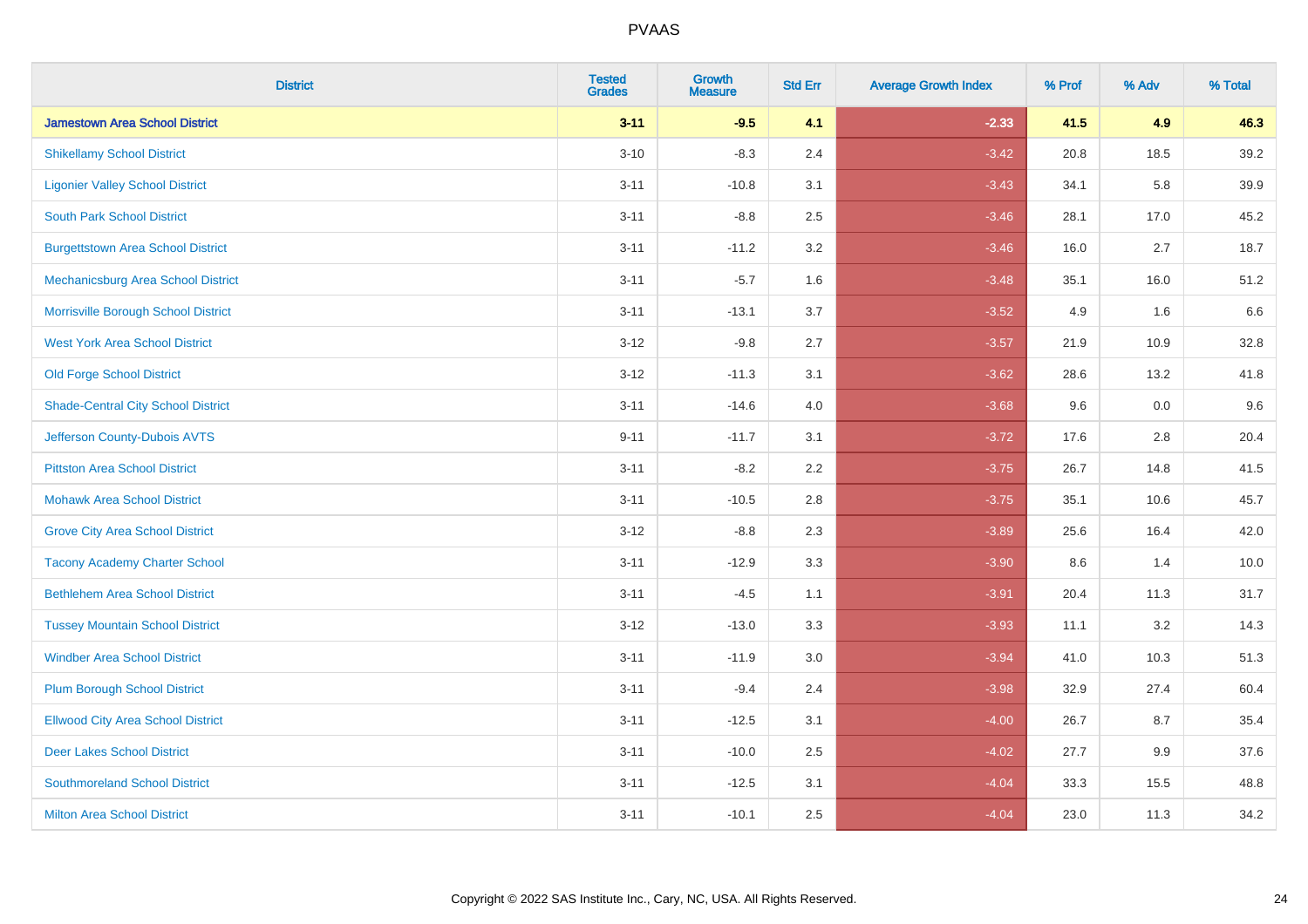| <b>District</b>                           | <b>Tested</b><br><b>Grades</b> | <b>Growth</b><br><b>Measure</b> | <b>Std Err</b> | <b>Average Growth Index</b> | % Prof | % Adv | % Total |
|-------------------------------------------|--------------------------------|---------------------------------|----------------|-----------------------------|--------|-------|---------|
| <b>Jamestown Area School District</b>     | $3 - 11$                       | $-9.5$                          | 4.1            | $-2.33$                     | 41.5   | 4.9   | 46.3    |
| <b>Shikellamy School District</b>         | $3 - 10$                       | $-8.3$                          | 2.4            | $-3.42$                     | 20.8   | 18.5  | 39.2    |
| <b>Ligonier Valley School District</b>    | $3 - 11$                       | $-10.8$                         | 3.1            | $-3.43$                     | 34.1   | 5.8   | 39.9    |
| <b>South Park School District</b>         | $3 - 11$                       | $-8.8$                          | 2.5            | $-3.46$                     | 28.1   | 17.0  | 45.2    |
| <b>Burgettstown Area School District</b>  | $3 - 11$                       | $-11.2$                         | 3.2            | $-3.46$                     | 16.0   | 2.7   | 18.7    |
| Mechanicsburg Area School District        | $3 - 11$                       | $-5.7$                          | 1.6            | $-3.48$                     | 35.1   | 16.0  | 51.2    |
| Morrisville Borough School District       | $3 - 11$                       | $-13.1$                         | 3.7            | $-3.52$                     | 4.9    | 1.6   | 6.6     |
| <b>West York Area School District</b>     | $3 - 12$                       | $-9.8$                          | 2.7            | $-3.57$                     | 21.9   | 10.9  | 32.8    |
| <b>Old Forge School District</b>          | $3 - 12$                       | $-11.3$                         | 3.1            | $-3.62$                     | 28.6   | 13.2  | 41.8    |
| <b>Shade-Central City School District</b> | $3 - 11$                       | $-14.6$                         | 4.0            | $-3.68$                     | 9.6    | 0.0   | 9.6     |
| Jefferson County-Dubois AVTS              | $9 - 11$                       | $-11.7$                         | 3.1            | $-3.72$                     | 17.6   | 2.8   | 20.4    |
| <b>Pittston Area School District</b>      | $3 - 11$                       | $-8.2$                          | 2.2            | $-3.75$                     | 26.7   | 14.8  | 41.5    |
| <b>Mohawk Area School District</b>        | $3 - 11$                       | $-10.5$                         | 2.8            | $-3.75$                     | 35.1   | 10.6  | 45.7    |
| <b>Grove City Area School District</b>    | $3 - 12$                       | $-8.8$                          | 2.3            | $-3.89$                     | 25.6   | 16.4  | 42.0    |
| <b>Tacony Academy Charter School</b>      | $3 - 11$                       | $-12.9$                         | 3.3            | $-3.90$                     | 8.6    | 1.4   | 10.0    |
| <b>Bethlehem Area School District</b>     | $3 - 11$                       | $-4.5$                          | 1.1            | $-3.91$                     | 20.4   | 11.3  | 31.7    |
| <b>Tussey Mountain School District</b>    | $3 - 12$                       | $-13.0$                         | 3.3            | $-3.93$                     | 11.1   | 3.2   | 14.3    |
| <b>Windber Area School District</b>       | $3 - 11$                       | $-11.9$                         | 3.0            | $-3.94$                     | 41.0   | 10.3  | 51.3    |
| <b>Plum Borough School District</b>       | $3 - 11$                       | $-9.4$                          | 2.4            | $-3.98$                     | 32.9   | 27.4  | 60.4    |
| <b>Ellwood City Area School District</b>  | $3 - 11$                       | $-12.5$                         | 3.1            | $-4.00$                     | 26.7   | 8.7   | 35.4    |
| <b>Deer Lakes School District</b>         | $3 - 11$                       | $-10.0$                         | 2.5            | $-4.02$                     | 27.7   | 9.9   | 37.6    |
| <b>Southmoreland School District</b>      | $3 - 11$                       | $-12.5$                         | 3.1            | $-4.04$                     | 33.3   | 15.5  | 48.8    |
| <b>Milton Area School District</b>        | $3 - 11$                       | $-10.1$                         | 2.5            | $-4.04$                     | 23.0   | 11.3  | 34.2    |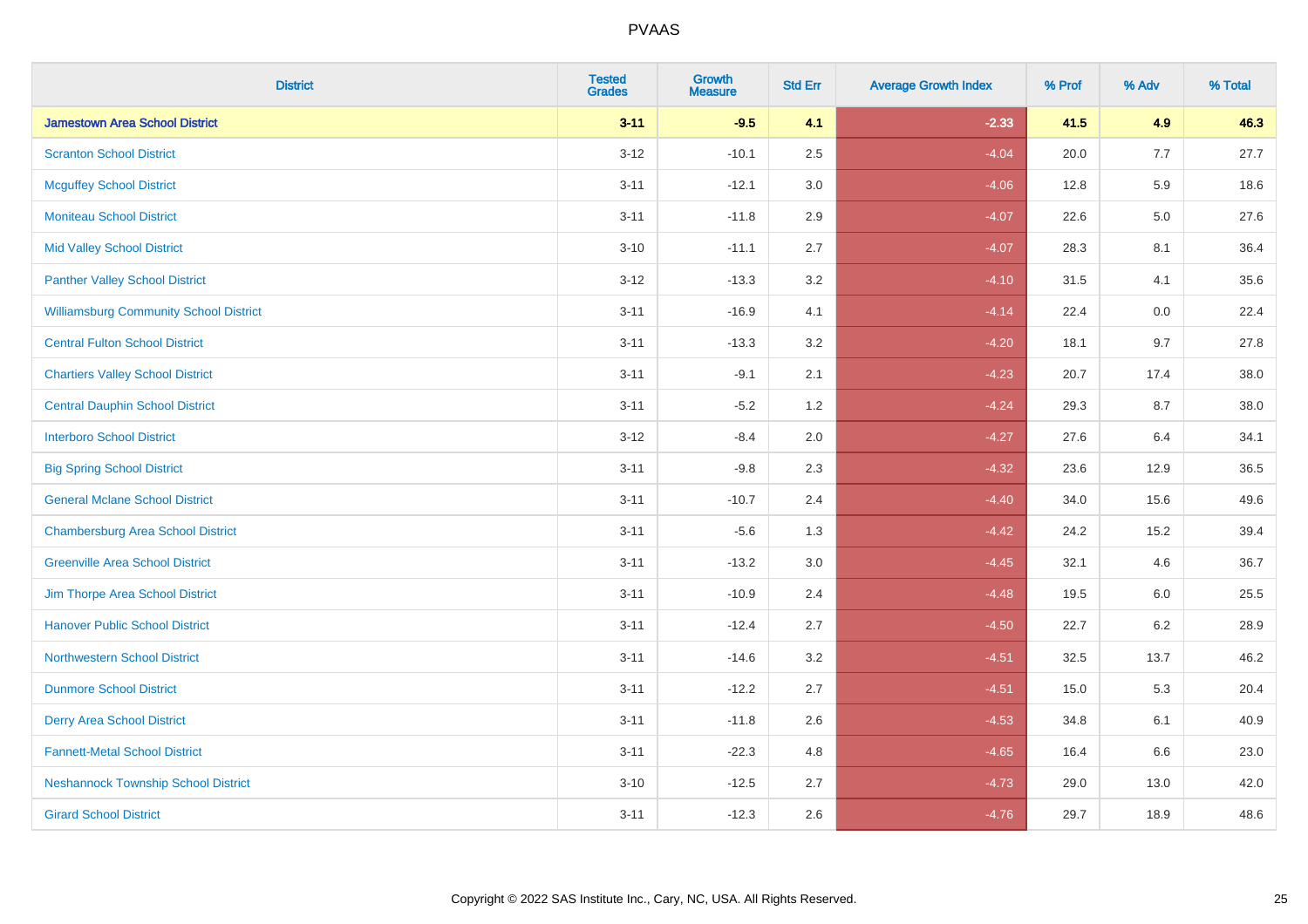| <b>District</b>                               | <b>Tested</b><br>Grades | <b>Growth</b><br><b>Measure</b> | <b>Std Err</b> | <b>Average Growth Index</b> | % Prof | % Adv   | % Total |
|-----------------------------------------------|-------------------------|---------------------------------|----------------|-----------------------------|--------|---------|---------|
| <b>Jamestown Area School District</b>         | $3 - 11$                | $-9.5$                          | 4.1            | $-2.33$                     | 41.5   | 4.9     | 46.3    |
| <b>Scranton School District</b>               | $3 - 12$                | $-10.1$                         | 2.5            | $-4.04$                     | 20.0   | 7.7     | 27.7    |
| <b>Mcguffey School District</b>               | $3 - 11$                | $-12.1$                         | 3.0            | $-4.06$                     | 12.8   | 5.9     | 18.6    |
| <b>Moniteau School District</b>               | $3 - 11$                | $-11.8$                         | 2.9            | $-4.07$                     | 22.6   | $5.0\,$ | 27.6    |
| <b>Mid Valley School District</b>             | $3 - 10$                | $-11.1$                         | 2.7            | $-4.07$                     | 28.3   | 8.1     | 36.4    |
| <b>Panther Valley School District</b>         | $3 - 12$                | $-13.3$                         | 3.2            | $-4.10$                     | 31.5   | 4.1     | 35.6    |
| <b>Williamsburg Community School District</b> | $3 - 11$                | $-16.9$                         | 4.1            | $-4.14$                     | 22.4   | 0.0     | 22.4    |
| <b>Central Fulton School District</b>         | $3 - 11$                | $-13.3$                         | 3.2            | $-4.20$                     | 18.1   | 9.7     | 27.8    |
| <b>Chartiers Valley School District</b>       | $3 - 11$                | $-9.1$                          | 2.1            | $-4.23$                     | 20.7   | 17.4    | 38.0    |
| <b>Central Dauphin School District</b>        | $3 - 11$                | $-5.2$                          | 1.2            | $-4.24$                     | 29.3   | 8.7     | 38.0    |
| <b>Interboro School District</b>              | $3-12$                  | $-8.4$                          | 2.0            | $-4.27$                     | 27.6   | 6.4     | 34.1    |
| <b>Big Spring School District</b>             | $3 - 11$                | $-9.8$                          | 2.3            | $-4.32$                     | 23.6   | 12.9    | 36.5    |
| <b>General Mclane School District</b>         | $3 - 11$                | $-10.7$                         | 2.4            | $-4.40$                     | 34.0   | 15.6    | 49.6    |
| <b>Chambersburg Area School District</b>      | $3 - 11$                | $-5.6$                          | 1.3            | $-4.42$                     | 24.2   | 15.2    | 39.4    |
| <b>Greenville Area School District</b>        | $3 - 11$                | $-13.2$                         | $3.0\,$        | $-4.45$                     | 32.1   | 4.6     | 36.7    |
| Jim Thorpe Area School District               | $3 - 11$                | $-10.9$                         | 2.4            | $-4.48$                     | 19.5   | 6.0     | 25.5    |
| <b>Hanover Public School District</b>         | $3 - 11$                | $-12.4$                         | 2.7            | $-4.50$                     | 22.7   | $6.2\,$ | 28.9    |
| <b>Northwestern School District</b>           | $3 - 11$                | $-14.6$                         | 3.2            | $-4.51$                     | 32.5   | 13.7    | 46.2    |
| <b>Dunmore School District</b>                | $3 - 11$                | $-12.2$                         | 2.7            | $-4.51$                     | 15.0   | 5.3     | 20.4    |
| <b>Derry Area School District</b>             | $3 - 11$                | $-11.8$                         | 2.6            | $-4.53$                     | 34.8   | 6.1     | 40.9    |
| <b>Fannett-Metal School District</b>          | $3 - 11$                | $-22.3$                         | 4.8            | $-4.65$                     | 16.4   | 6.6     | 23.0    |
| <b>Neshannock Township School District</b>    | $3 - 10$                | $-12.5$                         | 2.7            | $-4.73$                     | 29.0   | 13.0    | 42.0    |
| <b>Girard School District</b>                 | $3 - 11$                | $-12.3$                         | 2.6            | $-4.76$                     | 29.7   | 18.9    | 48.6    |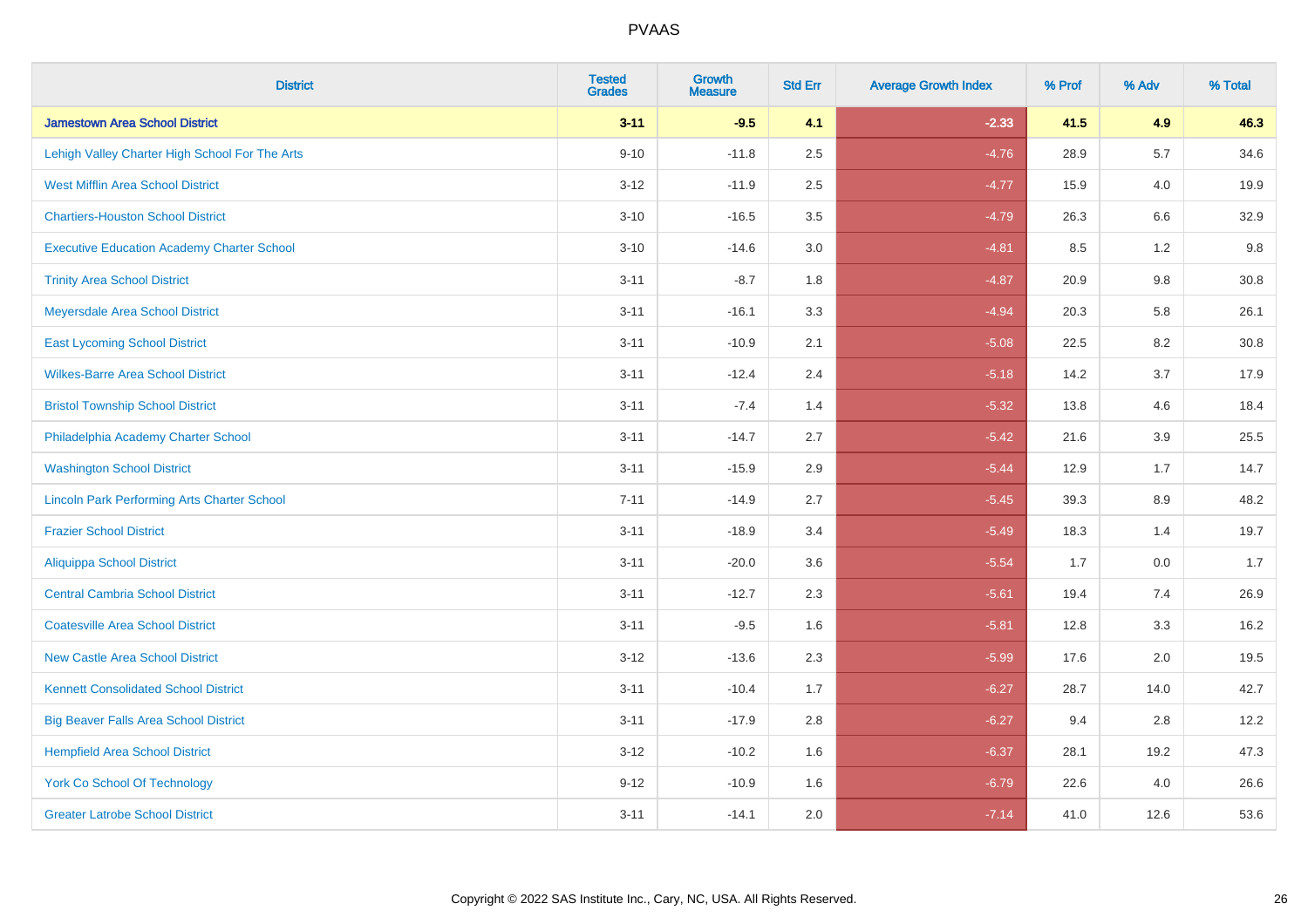| <b>District</b>                                    | <b>Tested</b><br><b>Grades</b> | <b>Growth</b><br><b>Measure</b> | <b>Std Err</b> | <b>Average Growth Index</b> | % Prof | % Adv   | % Total |
|----------------------------------------------------|--------------------------------|---------------------------------|----------------|-----------------------------|--------|---------|---------|
| <b>Jamestown Area School District</b>              | $3 - 11$                       | $-9.5$                          | 4.1            | $-2.33$                     | 41.5   | 4.9     | 46.3    |
| Lehigh Valley Charter High School For The Arts     | $9 - 10$                       | $-11.8$                         | 2.5            | $-4.76$                     | 28.9   | 5.7     | 34.6    |
| <b>West Mifflin Area School District</b>           | $3 - 12$                       | $-11.9$                         | 2.5            | $-4.77$                     | 15.9   | 4.0     | 19.9    |
| <b>Chartiers-Houston School District</b>           | $3 - 10$                       | $-16.5$                         | 3.5            | $-4.79$                     | 26.3   | $6.6\,$ | 32.9    |
| <b>Executive Education Academy Charter School</b>  | $3 - 10$                       | $-14.6$                         | 3.0            | $-4.81$                     | 8.5    | 1.2     | 9.8     |
| <b>Trinity Area School District</b>                | $3 - 11$                       | $-8.7$                          | 1.8            | $-4.87$                     | 20.9   | $9.8\,$ | 30.8    |
| Meyersdale Area School District                    | $3 - 11$                       | $-16.1$                         | 3.3            | $-4.94$                     | 20.3   | 5.8     | 26.1    |
| <b>East Lycoming School District</b>               | $3 - 11$                       | $-10.9$                         | 2.1            | $-5.08$                     | 22.5   | 8.2     | 30.8    |
| <b>Wilkes-Barre Area School District</b>           | $3 - 11$                       | $-12.4$                         | 2.4            | $-5.18$                     | 14.2   | 3.7     | 17.9    |
| <b>Bristol Township School District</b>            | $3 - 11$                       | $-7.4$                          | 1.4            | $-5.32$                     | 13.8   | 4.6     | 18.4    |
| Philadelphia Academy Charter School                | $3 - 11$                       | $-14.7$                         | 2.7            | $-5.42$                     | 21.6   | 3.9     | 25.5    |
| <b>Washington School District</b>                  | $3 - 11$                       | $-15.9$                         | 2.9            | $-5.44$                     | 12.9   | 1.7     | 14.7    |
| <b>Lincoln Park Performing Arts Charter School</b> | $7 - 11$                       | $-14.9$                         | 2.7            | $-5.45$                     | 39.3   | $8.9\,$ | 48.2    |
| <b>Frazier School District</b>                     | $3 - 11$                       | $-18.9$                         | 3.4            | $-5.49$                     | 18.3   | 1.4     | 19.7    |
| <b>Aliquippa School District</b>                   | $3 - 11$                       | $-20.0$                         | 3.6            | $-5.54$                     | 1.7    | 0.0     | 1.7     |
| <b>Central Cambria School District</b>             | $3 - 11$                       | $-12.7$                         | 2.3            | $-5.61$                     | 19.4   | 7.4     | 26.9    |
| <b>Coatesville Area School District</b>            | $3 - 11$                       | $-9.5$                          | 1.6            | $-5.81$                     | 12.8   | 3.3     | 16.2    |
| <b>New Castle Area School District</b>             | $3 - 12$                       | $-13.6$                         | 2.3            | $-5.99$                     | 17.6   | 2.0     | 19.5    |
| <b>Kennett Consolidated School District</b>        | $3 - 11$                       | $-10.4$                         | 1.7            | $-6.27$                     | 28.7   | 14.0    | 42.7    |
| <b>Big Beaver Falls Area School District</b>       | $3 - 11$                       | $-17.9$                         | 2.8            | $-6.27$                     | 9.4    | 2.8     | 12.2    |
| <b>Hempfield Area School District</b>              | $3 - 12$                       | $-10.2$                         | 1.6            | $-6.37$                     | 28.1   | 19.2    | 47.3    |
| <b>York Co School Of Technology</b>                | $9 - 12$                       | $-10.9$                         | 1.6            | $-6.79$                     | 22.6   | 4.0     | 26.6    |
| <b>Greater Latrobe School District</b>             | $3 - 11$                       | $-14.1$                         | 2.0            | $-7.14$                     | 41.0   | 12.6    | 53.6    |